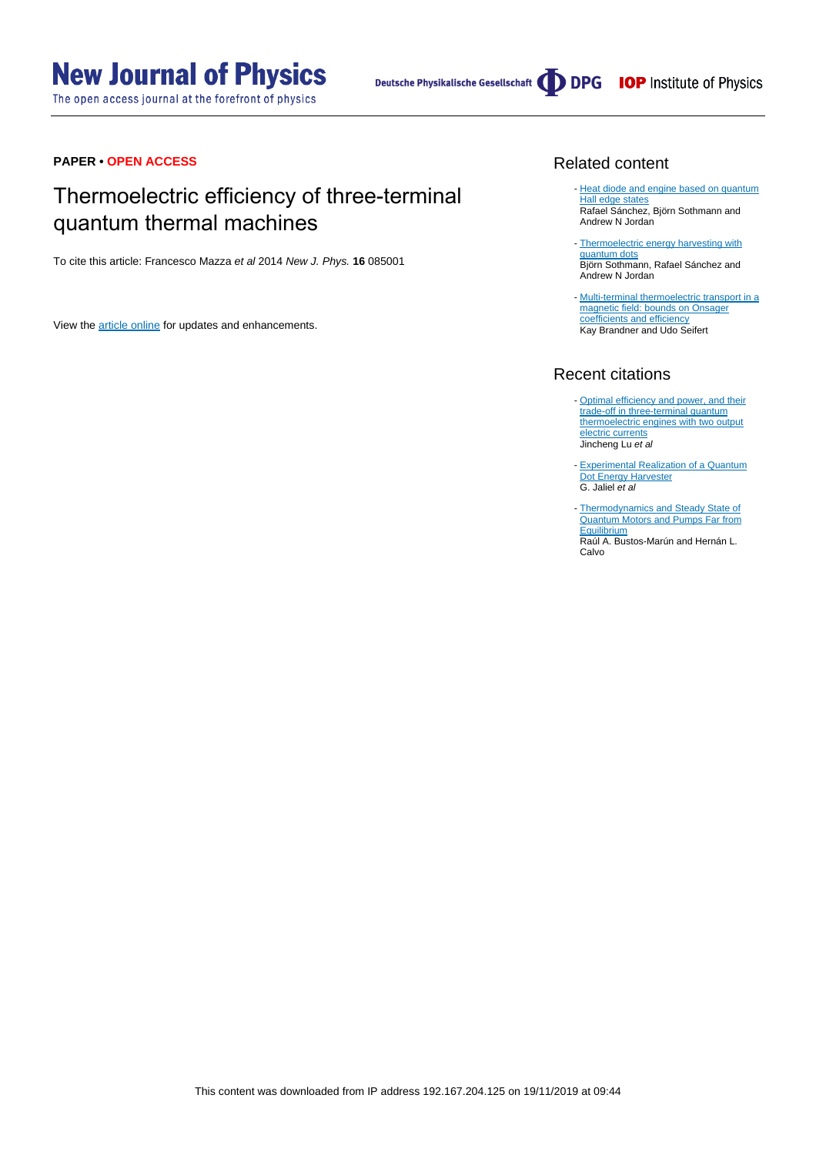The open access journal at the forefront of physics

# **PAPER • OPEN ACCESS**

# Thermoelectric efficiency of three-terminal quantum thermal machines

To cite this article: Francesco Mazza et al 2014 New J. Phys. **16** 085001

View the [article online](https://doi.org/10.1088/1367-2630/16/8/085001) for updates and enhancements.

# Related content

- [Heat diode and engine based on quantum](http://iopscience.iop.org/article/10.1088/1367-2630/17/7/075006) [Hall edge states](http://iopscience.iop.org/article/10.1088/1367-2630/17/7/075006) Rafael Sánchez, Björn Sothmann and Andrew N Jordan
- [Thermoelectric energy harvesting with](http://iopscience.iop.org/article/10.1088/0957-4484/26/3/032001) [quantum dots](http://iopscience.iop.org/article/10.1088/0957-4484/26/3/032001) Björn Sothmann, Rafael Sánchez and Andrew N Jordan
- [Multi-terminal thermoelectric transport in a](http://iopscience.iop.org/article/10.1088/1367-2630/15/10/105003) [magnetic field: bounds on Onsager](http://iopscience.iop.org/article/10.1088/1367-2630/15/10/105003) [coefficients and efficiency](http://iopscience.iop.org/article/10.1088/1367-2630/15/10/105003) Kay Brandner and Udo Seifert

# Recent citations

- [Optimal efficiency and power, and their](http://dx.doi.org/10.1103/PhysRevB.100.115438) [trade-off in three-terminal quantum](http://dx.doi.org/10.1103/PhysRevB.100.115438) [thermoelectric engines with two output](http://dx.doi.org/10.1103/PhysRevB.100.115438) [electric currents](http://dx.doi.org/10.1103/PhysRevB.100.115438) Jincheng Lu et al
- [Experimental Realization of a Quantum](http://dx.doi.org/10.1103/PhysRevLett.123.117701) [Dot Energy Harvester](http://dx.doi.org/10.1103/PhysRevLett.123.117701) G. Jaliel et al -
- [Thermodynamics and Steady State of](http://dx.doi.org/10.3390/e21090824) [Quantum Motors and Pumps Far from](http://dx.doi.org/10.3390/e21090824) **[Equilibrium](http://dx.doi.org/10.3390/e21090824)** Raúl A. Bustos-Marún and Hernán L. Calvo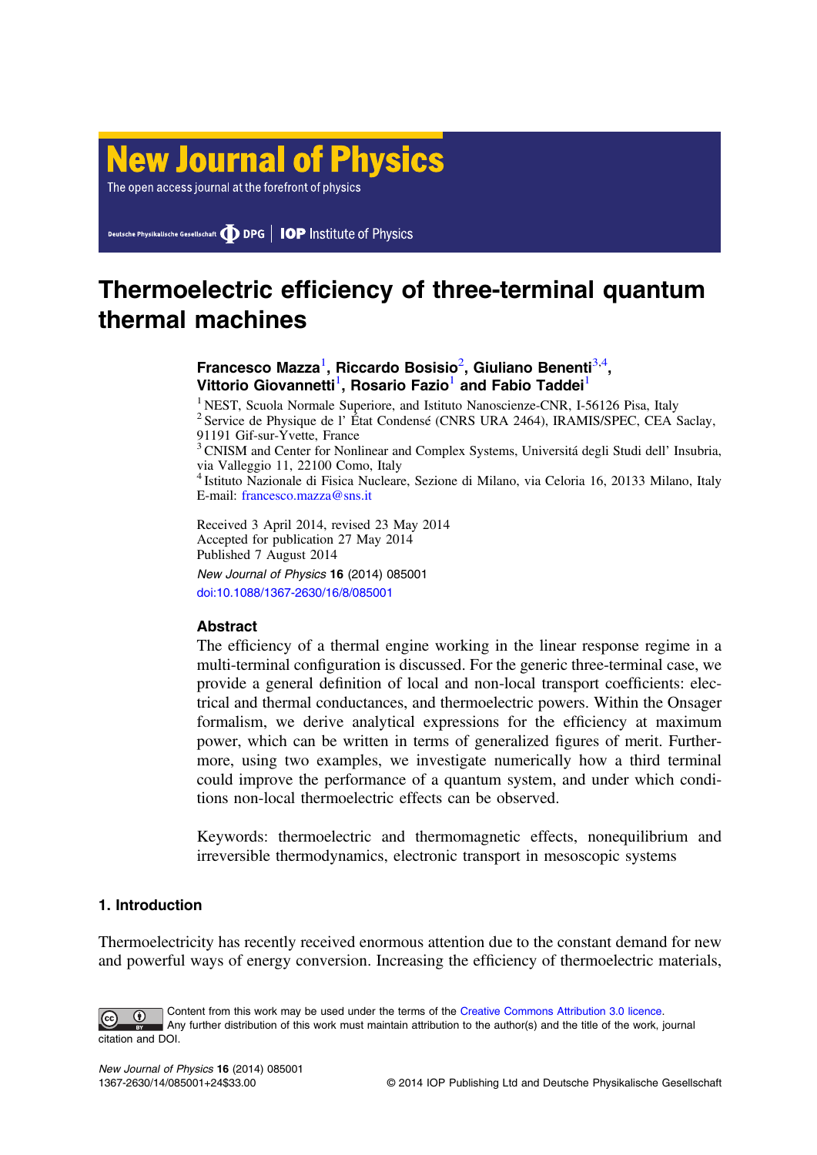# **New Journal of Physics**

The open access journal at the forefront of physics

Deutsche Physikalische Gesellschaft **DDPG** | IOP Institute of Physics

# Thermoelectric efficiency of three-terminal quantum thermal machines

# Francesco Mazza<sup>1</sup>, Riccardo Bosisio<sup>2</sup>, Giuliano Benenti<sup>3,4</sup>, Vittorio Giovannetti<sup>1</sup>, Rosario Fazio<sup>1</sup> and Fabio Taddei<sup>1</sup>

<sup>1</sup> NEST, Scuola Normale Superiore, and Istituto Nanoscienze-CNR, I-56126 Pisa, Italy <sup>2</sup> Service de Physique de l' État Condensé (CNRS URA 2464), IRAMIS/SPEC, CEA Saclay, 91191 Gif-sur-Yvette, France

<sup>3</sup> CNISM and Center for Nonlinear and Complex Systems, Universitá degli Studi dell' Insubria, via Valleggio 11, 22100 Como, Italy

<sup>4</sup> Istituto Nazionale di Fisica Nucleare, Sezione di Milano, via Celoria 16, 20133 Milano, Italy E-mail: [francesco.mazza@sns.it](mailto:francesco.mazza@sns.it)

Received 3 April 2014, revised 23 May 2014 Accepted for publication 27 May 2014 Published 7 August 2014 New Journal of Physics 16 (2014) 085001

[doi:10.1088/1367-2630/16/8/085001](http://dx.doi.org/10.1088/1367-2630/16/8/085001)

# **Abstract**

The efficiency of a thermal engine working in the linear response regime in a multi-terminal configuration is discussed. For the generic three-terminal case, we provide a general definition of local and non-local transport coefficients: electrical and thermal conductances, and thermoelectric powers. Within the Onsager formalism, we derive analytical expressions for the efficiency at maximum power, which can be written in terms of generalized figures of merit. Furthermore, using two examples, we investigate numerically how a third terminal could improve the performance of a quantum system, and under which conditions non-local thermoelectric effects can be observed.

Keywords: thermoelectric and thermomagnetic effects, nonequilibrium and irreversible thermodynamics, electronic transport in mesoscopic systems

# 1. Introduction

Thermoelectricity has recently received enormous attention due to the constant demand for new and powerful ways of energy conversion. Increasing the efficiency of thermoelectric materials,

Content from this work may be used under the terms of the [Creative Commons Attribution 3.0 licence](http://creativecommons.org/licenses/by/3.0/).  $\bigcirc$ Any further distribution of this work must maintain attribution to the author(s) and the title of the work, journal citation and DOI.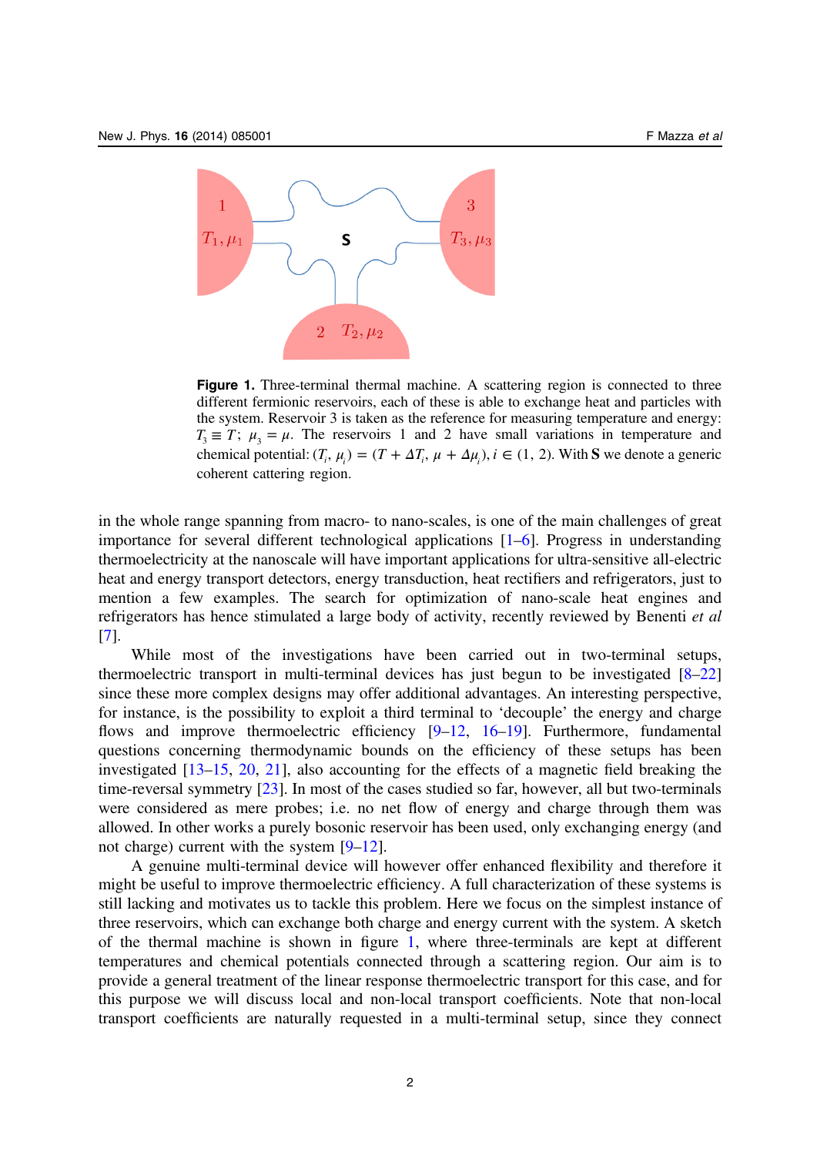<span id="page-2-0"></span>

Figure 1. Three-terminal thermal machine. A scattering region is connected to three different fermionic reservoirs, each of these is able to exchange heat and particles with the system. Reservoir 3 is taken as the reference for measuring temperature and energy:  $T_3 \equiv T$ ;  $\mu_2 = \mu$ . The reservoirs 1 and 2 have small variations in temperature and chemical potential:  $(T_i, \mu_i) = (T + \Delta T_i, \mu + \Delta \mu_i), i \in (1, 2)$ . With **S** we denote a generic coherent cattering region.

in the whole range spanning from macro- to nano-scales, is one of the main challenges of great importance for several different technological applications [[1](#page-23-0)–[6](#page-23-0)]. Progress in understanding thermoelectricity at the nanoscale will have important applications for ultra-sensitive all-electric heat and energy transport detectors, energy transduction, heat rectifiers and refrigerators, just to mention a few examples. The search for optimization of nano-scale heat engines and refrigerators has hence stimulated a large body of activity, recently reviewed by Benenti et al [[7\]](#page-23-0).

While most of the investigations have been carried out in two-terminal setups, thermoelectric transport in multi-terminal devices has just begun to be investigated [[8](#page-23-0)–[22](#page-24-0)] since these more complex designs may offer additional advantages. An interesting perspective, for instance, is the possibility to exploit a third terminal to 'decouple' the energy and charge flows and improve thermoelectric efficiency [[9](#page-23-0)–[12](#page-24-0), [16](#page-24-0)–[19\]](#page-24-0). Furthermore, fundamental questions concerning thermodynamic bounds on the efficiency of these setups has been investigated [\[13](#page-24-0)–[15,](#page-24-0) [20](#page-24-0), [21](#page-24-0)], also accounting for the effects of a magnetic field breaking the time-reversal symmetry [\[23](#page-24-0)]. In most of the cases studied so far, however, all but two-terminals were considered as mere probes; i.e. no net flow of energy and charge through them was allowed. In other works a purely bosonic reservoir has been used, only exchanging energy (and not charge) current with the system [[9](#page-23-0)–[12](#page-24-0)].

A genuine multi-terminal device will however offer enhanced flexibility and therefore it might be useful to improve thermoelectric efficiency. A full characterization of these systems is still lacking and motivates us to tackle this problem. Here we focus on the simplest instance of three reservoirs, which can exchange both charge and energy current with the system. A sketch of the thermal machine is shown in figure 1, where three-terminals are kept at different temperatures and chemical potentials connected through a scattering region. Our aim is to provide a general treatment of the linear response thermoelectric transport for this case, and for this purpose we will discuss local and non-local transport coefficients. Note that non-local transport coefficients are naturally requested in a multi-terminal setup, since they connect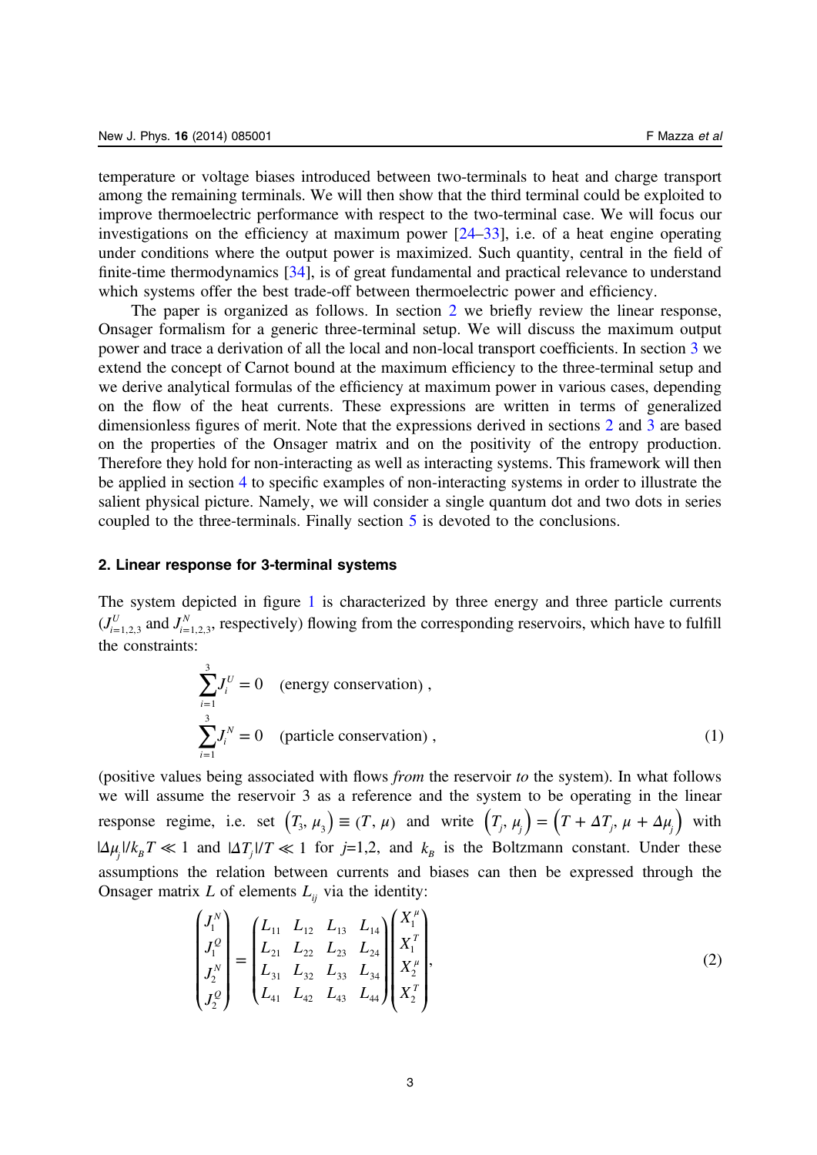<span id="page-3-0"></span>temperature or voltage biases introduced between two-terminals to heat and charge transport among the remaining terminals. We will then show that the third terminal could be exploited to improve thermoelectric performance with respect to the two-terminal case. We will focus our investigations on the efficiency at maximum power  $[24–33]$  $[24–33]$  $[24–33]$  $[24–33]$  $[24–33]$ , i.e. of a heat engine operating under conditions where the output power is maximized. Such quantity, central in the field of finite-time thermodynamics [[34\]](#page-24-0), is of great fundamental and practical relevance to understand which systems offer the best trade-off between thermoelectric power and efficiency.

The paper is organized as follows. In section 2 we briefly review the linear response, Onsager formalism for a generic three-terminal setup. We will discuss the maximum output power and trace a derivation of all the local and non-local transport coefficients. In section [3](#page-6-0) we extend the concept of Carnot bound at the maximum efficiency to the three-terminal setup and we derive analytical formulas of the efficiency at maximum power in various cases, depending on the flow of the heat currents. These expressions are written in terms of generalized dimensionless figures of merit. Note that the expressions derived in sections 2 and [3](#page-6-0) are based on the properties of the Onsager matrix and on the positivity of the entropy production. Therefore they hold for non-interacting as well as interacting systems. This framework will then be applied in section [4](#page-10-0) to specific examples of non-interacting systems in order to illustrate the salient physical picture. Namely, we will consider a single quantum dot and two dots in series coupled to the three-terminals. Finally section [5](#page-18-0) is devoted to the conclusions.

## 2. Linear response for 3-terminal systems

The system depicted in figure [1](#page-2-0) is characterized by three energy and three particle currents  $(J_{i=1,2,3}^U$  and  $J_{i=1,2,3}^N$ , respectively) flowing from the corresponding reservoirs, which have to fulfill the constraints:

$$
\sum_{i=1}^{3} J_i^U = 0 \quad \text{(energy conservation)} ,
$$
  

$$
\sum_{i=1}^{3} J_i^N = 0 \quad \text{(particle conservation)} ,
$$
 (1)

(positive values being associated with flows from the reservoir to the system). In what follows we will assume the reservoir 3 as a reference and the system to be operating in the linear response regime, i.e. set  $(T_3, \mu_3) \equiv (T, \mu)$  and write  $(T_j, \mu_j) = (T + \Delta T_j, \mu + \Delta \mu_j)$  with  $|\Delta \mu_i|/k_B T \ll 1$  and  $|\Delta T_i|/T \ll 1$  for j=1,2, and  $k_B$  is the Boltzmann constant. Under these assumptions the relation between currents and biases can then be expressed through the Onsager matrix  $L$  of elements  $L_{ii}$  via the identity:

$$
\begin{pmatrix} J_1^N \\ J_1^Q \\ J_2^N \\ J_2^Q \end{pmatrix} = \begin{pmatrix} L_{11} & L_{12} & L_{13} & L_{14} \\ L_{21} & L_{22} & L_{23} & L_{24} \\ L_{31} & L_{32} & L_{33} & L_{34} \\ L_{41} & L_{42} & L_{43} & L_{44} \end{pmatrix} \begin{pmatrix} X_1^\mu \\ X_1^\tau \\ X_2^\nu \\ X_2^\tau \end{pmatrix},
$$
\n(2)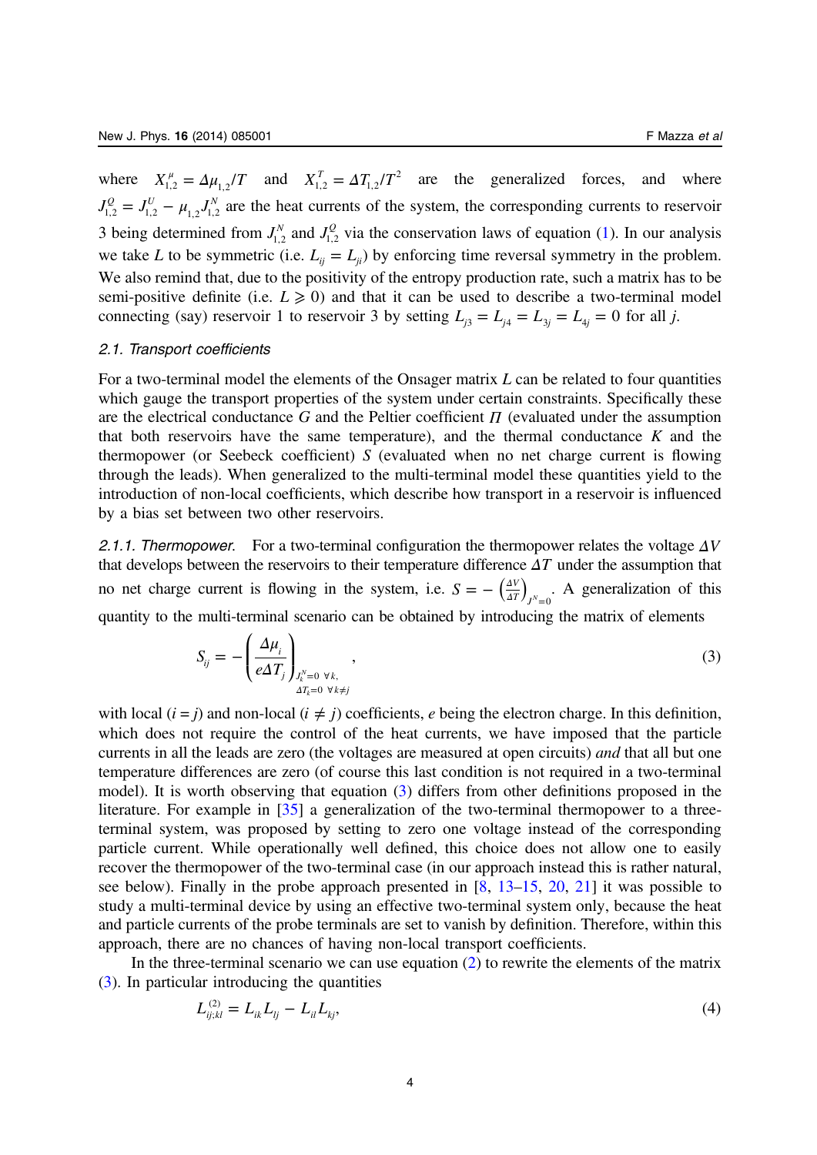<span id="page-4-0"></span>where  $X_{1,2}^{\mu} = \Delta \mu_{1,2}^{\mu} / T$  and  $X_{1,2}^T = \Delta T_{1,2}^{\mu} / T^2$  are the generalized forces, and where  $J_{1,2}^Q = J_{1,2}^U - \mu_{1,2} J_{1,2}^N$  are the heat currents of the system, the corresponding currents to reservoir 3 being determined from  $J_{1,2}^N$  and  $J_{1,2}^Q$  via the conservation laws of equation [\(1](#page-3-0)). In our analysis we take L to be symmetric (i.e.  $L_{ii} = L_{ii}$ ) by enforcing time reversal symmetry in the problem. We also remind that, due to the positivity of the entropy production rate, such a matrix has to be semi-positive definite (i.e.  $L \ge 0$ ) and that it can be used to describe a two-terminal model connecting (say) reservoir 1 to reservoir 3 by setting  $L_{i3} = L_{i4} = L_{3i} = L_{4i} = 0$  for all j.

#### 2.1. Transport coefficients

For a two-terminal model the elements of the Onsager matrix  $L$  can be related to four quantities which gauge the transport properties of the system under certain constraints. Specifically these are the electrical conductance G and the Peltier coefficient *Π* (evaluated under the assumption that both reservoirs have the same temperature), and the thermal conductance  $K$  and the thermopower (or Seebeck coefficient) S (evaluated when no net charge current is flowing through the leads). When generalized to the multi-terminal model these quantities yield to the introduction of non-local coefficients, which describe how transport in a reservoir is influenced by a bias set between two other reservoirs.

2.1.1. Thermopower. For a two-terminal configuration the thermopower relates the voltage *ΔV* that develops between the reservoirs to their temperature difference *ΔT* under the assumption that no net charge current is flowing in the system, i.e.  $S = -\left(\frac{\Delta V}{\Delta T}\right)_{J^N=0}$ . A generalization of this quantity to the multi-terminal scenario can be obtained by introducing the matrix of elements

$$
S_{ij} = -\left(\frac{\Delta \mu_i}{e \Delta T_j}\right)_{\substack{J_k^N = 0 \ \forall k, \\ \Delta T_k = 0 \ \forall k \neq j}}\n\tag{3}
$$

with local  $(i = j)$  and non-local  $(i \neq j)$  coefficients, e being the electron charge. In this definition, which does not require the control of the heat currents, we have imposed that the particle currents in all the leads are zero (the voltages are measured at open circuits) and that all but one temperature differences are zero (of course this last condition is not required in a two-terminal model). It is worth observing that equation (3) differs from other definitions proposed in the literature. For example in [[35](#page-24-0)] a generalization of the two-terminal thermopower to a threeterminal system, was proposed by setting to zero one voltage instead of the corresponding particle current. While operationally well defined, this choice does not allow one to easily recover the thermopower of the two-terminal case (in our approach instead this is rather natural, see below). Finally in the probe approach presented in  $[8, 13-15, 20, 21]$  $[8, 13-15, 20, 21]$  $[8, 13-15, 20, 21]$  $[8, 13-15, 20, 21]$  $[8, 13-15, 20, 21]$  $[8, 13-15, 20, 21]$  $[8, 13-15, 20, 21]$  $[8, 13-15, 20, 21]$  $[8, 13-15, 20, 21]$  $[8, 13-15, 20, 21]$  it was possible to study a multi-terminal device by using an effective two-terminal system only, because the heat and particle currents of the probe terminals are set to vanish by definition. Therefore, within this approach, there are no chances of having non-local transport coefficients.

In the three-terminal scenario we can use equation  $(2)$  to rewrite the elements of the matrix (3). In particular introducing the quantities

$$
L_{ij;kl}^{(2)} = L_{ik} L_{lj} - L_{il} L_{kj},
$$
\n(4)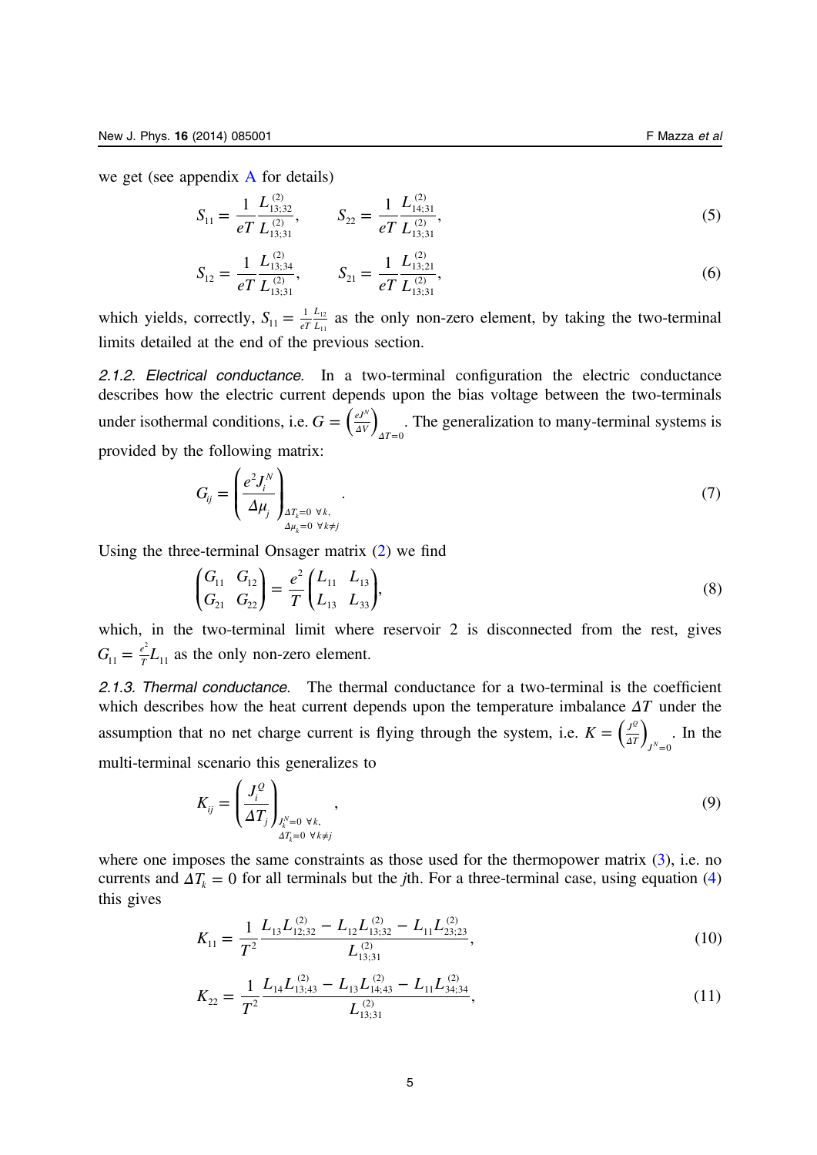<span id="page-5-0"></span>we get (see appendix  $\overline{A}$  $\overline{A}$  $\overline{A}$  for details)

$$
S_{11} = \frac{1}{eT} \frac{L_{13;32}^{(2)}}{L_{13;31}^{(2)}}, \qquad S_{22} = \frac{1}{eT} \frac{L_{14;31}^{(2)}}{L_{13;31}^{(2)}},
$$
(5)

$$
S_{12} = \frac{1}{eT} \frac{L_{13;34}^{(2)}}{L_{13;31}^{(2)}}, \qquad S_{21} = \frac{1}{eT} \frac{L_{13;21}^{(2)}}{L_{13;31}^{(2)}},
$$
(6)

which yields, correctly,  $S_{11} = \frac{1}{eT L}$  $11 - eT$ 1  $L_{12}$  $=\frac{1}{eT}\frac{L_{12}}{L_{11}}$  as the only non-zero element, by taking the two-terminal limits detailed at the end of the previous section.

2.1.2. Electrical conductance. In a two-terminal configuration the electric conductance describes how the electric current depends upon the bias voltage between the two-terminals under isothermal conditions, i.e.  $G = \left(\frac{e^{J^N}}{4V}\right)_{\Delta T=0}$  $=\left(\frac{eJ^N}{\Delta V}\right)_{\Delta T=0}$ . The generalization to many-terminal systems is provided by the following matrix:

$$
G_{ij} = \left(\frac{e^2 J_i^N}{\Delta \mu_j}\right)_{\Delta T_k = 0 \ \forall k, \atop \Delta \mu_k = 0 \ \forall k \neq j}.
$$
\n(7)

Using the three-terminal Onsager matrix [\(2](#page-3-0)) we find

$$
\begin{pmatrix} G_{11} & G_{12} \\ G_{21} & G_{22} \end{pmatrix} = \frac{e^2}{T} \begin{pmatrix} L_{11} & L_{13} \\ L_{13} & L_{33} \end{pmatrix},\tag{8}
$$

which, in the two-terminal limit where reservoir 2 is disconnected from the rest, gives  $G_{11} = \frac{e^2}{T} L_{11}$  $=\frac{e^2}{T}L_{11}$  as the only non-zero element.

2.1.3. Thermal conductance. The thermal conductance for a two-terminal is the coefficient which describes how the heat current depends upon the temperature imbalance *ΔT* under the assumption that no net charge current is flying through the system, i.e.  $K = \left(\frac{J^0}{4T}\right)_{J^N=0}$ *Q*  $=\left(\frac{J^2}{\Delta T}\right)_{J^N=0}$ . In the multi-terminal scenario this generalizes to

$$
K_{ij} = \left(\frac{J_i^Q}{\Delta T_j}\right)_{\substack{J_i^N = 0 \ \forall k, \\ \Delta T_k = 0 \ \forall k \neq j}}\tag{9}
$$

where one imposes the same constraints as those used for the thermopower matrix  $(3)$  $(3)$ , i.e. no currents and  $\Delta T_k = 0$  for all terminals but the *j*th. For a three-terminal case, using equation [\(4](#page-4-0)) this gives

$$
K_{11} = \frac{1}{T^2} \frac{L_{13} L_{12;32}^{(2)} - L_{12} L_{13;32}^{(2)} - L_{11} L_{23;23}^{(2)}}{L_{13;31}^{(2)}},
$$
\n(10)

$$
K_{22} = \frac{1}{T^2} \frac{L_{14} L_{13;43}^{(2)} - L_{13} L_{14;43}^{(2)} - L_{11} L_{34;34}^{(2)}}{L_{13;31}^{(2)}},
$$
\n(11)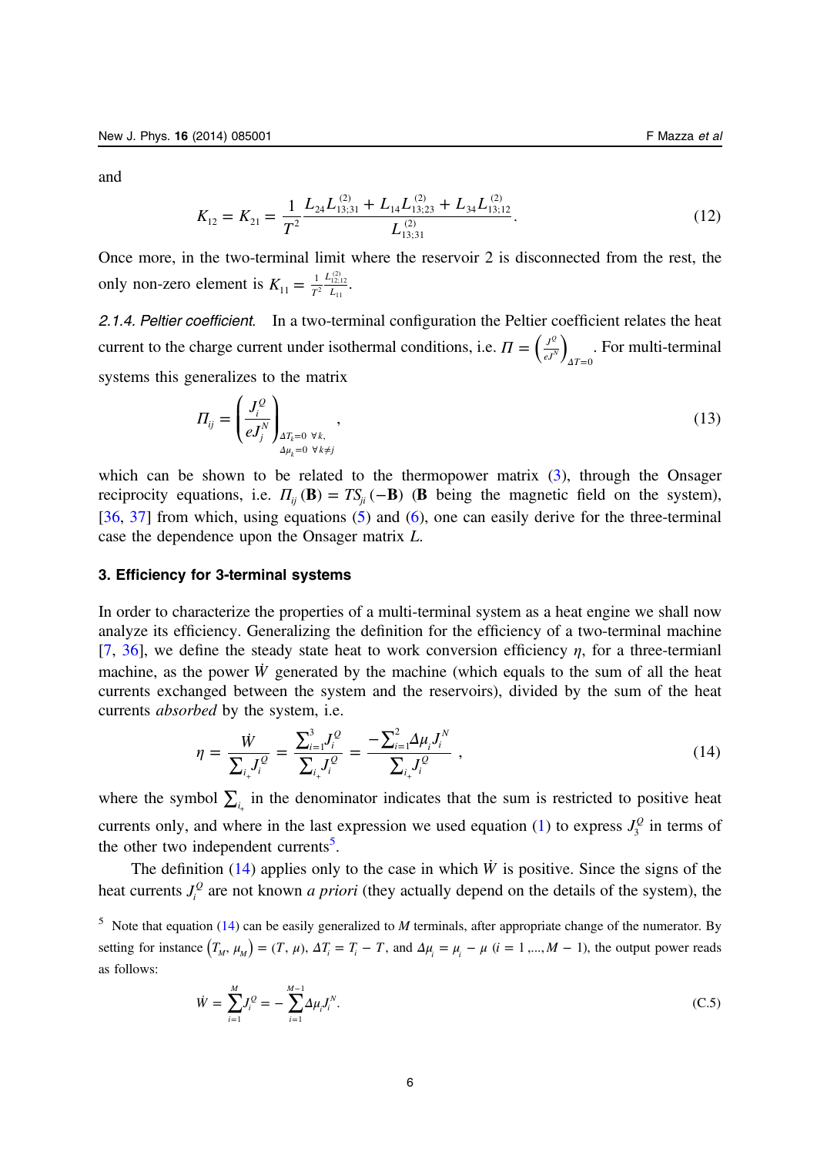<span id="page-6-0"></span>and

$$
K_{12} = K_{21} = \frac{1}{T^2} \frac{L_{24} L_{13;31}^{(2)} + L_{14} L_{13;23}^{(2)} + L_{34} L_{13;12}^{(2)}}{L_{13;31}^{(2)}}.
$$
(12)

Once more, in the two-terminal limit where the reservoir 2 is disconnected from the rest, the only non-zero element is  $K_{11} = \frac{1}{7}$ *L*  $11 - T^2$  *L*  $\frac{1}{r^2} \frac{L_{12;12}^{(2)}}{L_{12}}$  $=\frac{1}{T^2}\frac{L_{12;12}}{L_{11}}$ .

2.1.4. Peltier coefficient. In a two-terminal configuration the Peltier coefficient relates the heat current to the charge current under isothermal conditions, i.e.  $\Pi = \left(\frac{J^{\circ}}{\epsilon J^N}\right)_{\Delta T=0}$  $\Pi = \left(\frac{J^Q}{aI^{\Delta}}\right)$  $\Delta T =$ . For multi-terminal systems this generalizes to the matrix

$$
\Pi_{ij} = \left(\frac{J_i^Q}{eJ_j^N}\right)_{\substack{\Delta T_k = 0 \ \forall k, \\ \Delta \mu_k = 0 \ \forall k \neq j}}\n\tag{13}
$$

which can be shown to be related to the thermopower matrix [\(3](#page-4-0)), through the Onsager reciprocity equations, i.e.  $\Pi_{ij}(\mathbf{B}) = TS_{ji}(-\mathbf{B})$  (**B** being the magnetic field on the system), [[36,](#page-24-0) [37\]](#page-24-0) from which, using equations  $(5)$  $(5)$  and  $(6)$  $(6)$ , one can easily derive for the three-terminal case the dependence upon the Onsager matrix L.

# 3. Efficiency for 3-terminal systems

In order to characterize the properties of a multi-terminal system as a heat engine we shall now analyze its efficiency. Generalizing the definition for the efficiency of a two-terminal machine [[7,](#page-23-0) [36](#page-24-0)], we define the steady state heat to work conversion efficiency  $\eta$ , for a three-termianl machine, as the power  $\dot{W}$  generated by the machine (which equals to the sum of all the heat currents exchanged between the system and the reservoirs), divided by the sum of the heat currents absorbed by the system, i.e.

$$
\eta = \frac{\dot{W}}{\sum_{i_+} J_i^Q} = \frac{\sum_{i=1}^3 J_i^Q}{\sum_{i_+} J_i^Q} = \frac{-\sum_{i=1}^2 \Delta \mu_i J_i^N}{\sum_{i_+} J_i^Q} , \qquad (14)
$$

where the symbol  $\sum_{i}$  in the denominator indicates that the sum is restricted to positive heat currents only, and where in the last expression we used equation ([1\)](#page-3-0) to express  $J_3^Q$  in terms of the other two independent currents<sup>5</sup>.

The definition  $(14)$  applies only to the case in which  $\dot{W}$  is positive. Since the signs of the heat currents  $J_i^Q$  are not known *a priori* (they actually depend on the details of the system), the

<sup>5</sup> Note that equation (14) can be easily generalized to *M* terminals, after appropriate change of the numerator. By setting for instance  $(T_M, \mu_M) = (T, \mu)$ ,  $\Delta T_i = T_i - T$ , and  $\Delta \mu_i = \mu_i - \mu$   $(i = 1, ..., M - 1)$ , the output power reads as follows:

$$
\dot{W} = \sum_{i=1}^{M} J_i^Q = -\sum_{i=1}^{M-1} \Delta \mu_i J_i^N. \tag{C.5}
$$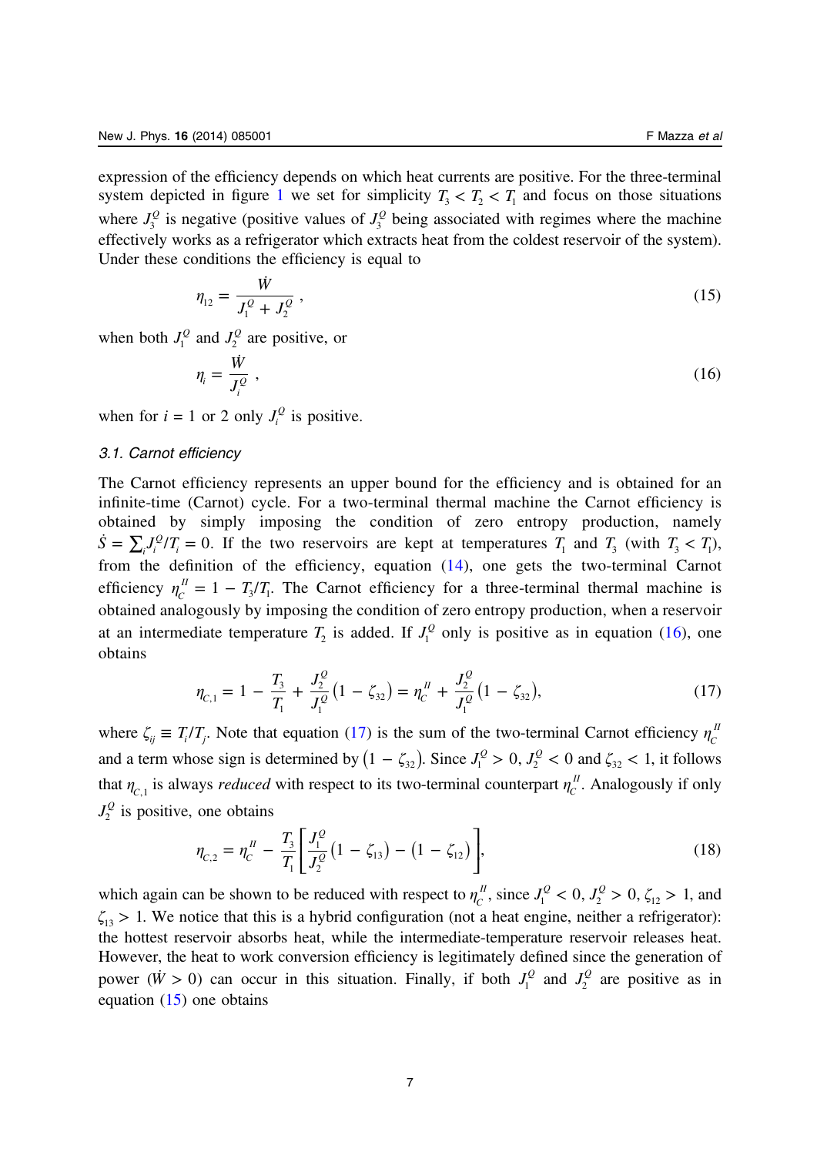<span id="page-7-0"></span>expression of the efficiency depends on which heat currents are positive. For the three-terminal system depicted in figure [1](#page-2-0) we set for simplicity  $T_1 < T_2 < T_1$  and focus on those situations where  $J_3^Q$  is negative (positive values of  $J_3^Q$  being associated with regimes where the machine effectively works as a refrigerator which extracts heat from the coldest reservoir of the system). Under these conditions the efficiency is equal to

$$
\eta_{12} = \frac{\dot{W}}{J_1^Q + J_2^Q},\tag{15}
$$

when both  $J_1^Q$  and  $J_2^Q$  are positive, or

$$
\eta_i = \frac{\dot{W}}{J_i^Q} \,,\tag{16}
$$

when for  $i = 1$  or 2 only  $J_i^Q$  is positive.

# 3.1. Carnot efficiency

The Carnot efficiency represents an upper bound for the efficiency and is obtained for an infinite-time (Carnot) cycle. For a two-terminal thermal machine the Carnot efficiency is obtained by simply imposing the condition of zero entropy production, namely  $\dot{S} = \sum_{i} J_i^Q / T_i = 0$ . If the two reservoirs are kept at temperatures  $T_1$  and  $T_3$  (with  $T_3 < T_1$ ), from the definition of the efficiency, equation ([14\)](#page-6-0), one gets the two-terminal Carnot efficiency  $\eta_c^{\mu} = 1 - T_3/T_1$ . The Carnot efficiency for a three-terminal thermal machine is obtained analogously by imposing the condition of zero entropy production, when a reservoir at an intermediate temperature  $T_2$  is added. If  $J_1^Q$  only is positive as in equation (16), one obtains

$$
\eta_{C,1} = 1 - \frac{T_3}{T_1} + \frac{J_2^Q}{J_1^Q} \left( 1 - \zeta_{32} \right) = \eta_C^H + \frac{J_2^Q}{J_1^Q} \left( 1 - \zeta_{32} \right),\tag{17}
$$

where  $\zeta_{ij} \equiv T_i/T_j$ . Note that equation (17) is the sum of the two-terminal Carnot efficiency  $\eta_c^{\mu}$ and a term whose sign is determined by  $(1 - \zeta_{32})$ . Since  $J_1^Q > 0$ ,  $J_2^Q < 0$  and  $\zeta_{32} < 1$ , it follows that  $\eta_{C,1}$  is always *reduced* with respect to its two-terminal counterpart  $\eta_c^{\mu}$ . Analogously if only  $J_2^Q$  is positive, one obtains

$$
\eta_{C,2} = \eta_C^{\{I\}} - \frac{T_3}{T_1} \left[ \frac{J_1^{\{Q\}}}{J_2^{\{Q\}}}(1 - \zeta_{13}) - (1 - \zeta_{12}) \right],\tag{18}
$$

which again can be shown to be reduced with respect to  $\eta_c^{\mu}$ , since  $J_1^{\mathcal{Q}} < 0$ ,  $J_2^{\mathcal{Q}} > 0$ ,  $\zeta_{12} > 1$ , and  $\zeta_{13} > 1$ . We notice that this is a hybrid configuration (not a heat engine, neither a refrigerator): the hottest reservoir absorbs heat, while the intermediate-temperature reservoir releases heat. However, the heat to work conversion efficiency is legitimately defined since the generation of power ( $\dot{W} > 0$ ) can occur in this situation. Finally, if both  $J_1^Q$  and  $J_2^Q$  are positive as in equation (15) one obtains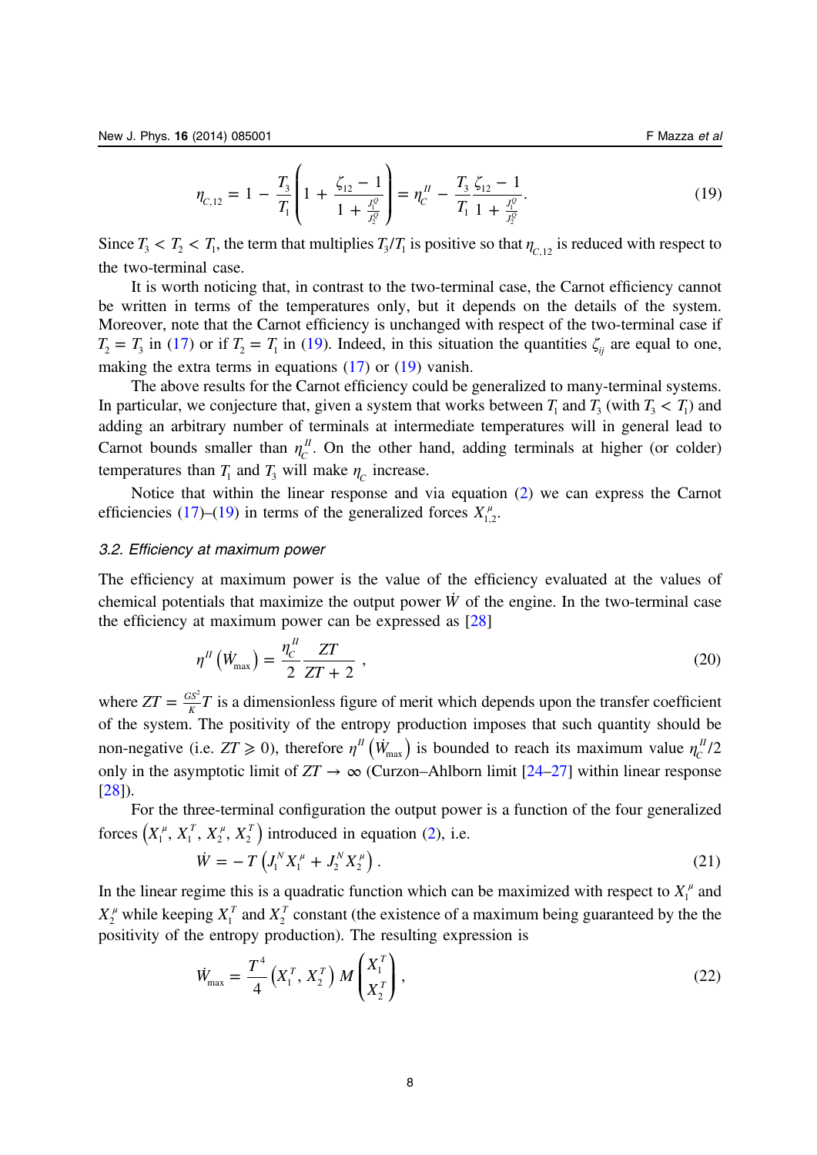<span id="page-8-0"></span>
$$
\eta_{C,12} = 1 - \frac{T_3}{T_1} \left( 1 + \frac{\zeta_{12} - 1}{1 + \frac{J_1^0}{J_2^0}} \right) = \eta_C^H - \frac{T_3}{T_1} \frac{\zeta_{12} - 1}{1 + \frac{J_1^0}{J_2^0}}.
$$
\n(19)

Since  $T_3 < T_2 < T_1$ , the term that multiplies  $T_3/T_1$  is positive so that  $\eta_{C,12}$  is reduced with respect to the two-terminal case.

It is worth noticing that, in contrast to the two-terminal case, the Carnot efficiency cannot be written in terms of the temperatures only, but it depends on the details of the system. Moreover, note that the Carnot efficiency is unchanged with respect of the two-terminal case if  $T_2 = T_3$  in ([17\)](#page-7-0) or if  $T_2 = T_1$  in [\(19](#page-7-0)). Indeed, in this situation the quantities  $\zeta_{ij}$  are equal to one, making the extra terms in equations ([17\)](#page-7-0) or [\(19](#page-7-0)) vanish.

The above results for the Carnot efficiency could be generalized to many-terminal systems. In particular, we conjecture that, given a system that works between  $T_1$  and  $T_3$  (with  $T_3 < T_1$ ) and adding an arbitrary number of terminals at intermediate temperatures will in general lead to Carnot bounds smaller than  $\eta_c^{\mu}$ . On the other hand, adding terminals at higher (or colder) temperatures than  $T_1$  and  $T_3$  will make  $\eta_c$  increase.

Notice that within the linear response and via equation ([2\)](#page-3-0) we can express the Carnot efficiencies [\(17](#page-7-0))–([19\)](#page-7-0) in terms of the generalized forces  $X_{1,2}^{\mu}$ .

#### 3.2. Efficiency at maximum power

The efficiency at maximum power is the value of the efficiency evaluated at the values of chemical potentials that maximize the output power  $\dot{W}$  of the engine. In the two-terminal case the efficiency at maximum power can be expressed as [[28\]](#page-24-0)

$$
\eta^H \left( \dot{W}_{\text{max}} \right) = \frac{\eta_c^H Z T}{2 Z T + 2} \tag{20}
$$

where  $ZT = \frac{GS^2}{K}T$  $=\frac{GS^2}{\kappa}T$  is a dimensionless figure of merit which depends upon the transfer coefficient of the system. The positivity of the entropy production imposes that such quantity should be non-negative (i.e.  $ZT \ge 0$ ), therefore  $\eta^{\prime\prime}$  ( $\dot{W}_{\text{max}}$ ) is bounded to reach its maximum value  $\eta_c^{\prime\prime}/2$ only in the asymptotic limit of  $ZT \to \infty$  (Curzon–Ahlborn limit [\[24](#page-24-0)–[27\]](#page-24-0) within linear response  $[28]$  $[28]$ .

For the three-terminal configuration the output power is a function of the four generalized forces  $(X_1^{\mu}, X_1^{\tau}, X_2^{\mu}, X_2^{\tau})$  introduced in equation ([2\)](#page-3-0), i.e.

$$
\dot{W} = -T \left( J_1^N X_1^{\mu} + J_2^N X_2^{\mu} \right). \tag{21}
$$

In the linear regime this is a quadratic function which can be maximized with respect to  $X_1^{\mu}$  and  $X_2^{\mu}$  while keeping  $X_1^T$  and  $X_2^T$  constant (the existence of a maximum being guaranteed by the the positivity of the entropy production). The resulting expression is

$$
\dot{W}_{\text{max}} = \frac{T^4}{4} \left( X_1^T, X_2^T \right) M \begin{pmatrix} X_1^T \\ X_2^T \end{pmatrix},\tag{22}
$$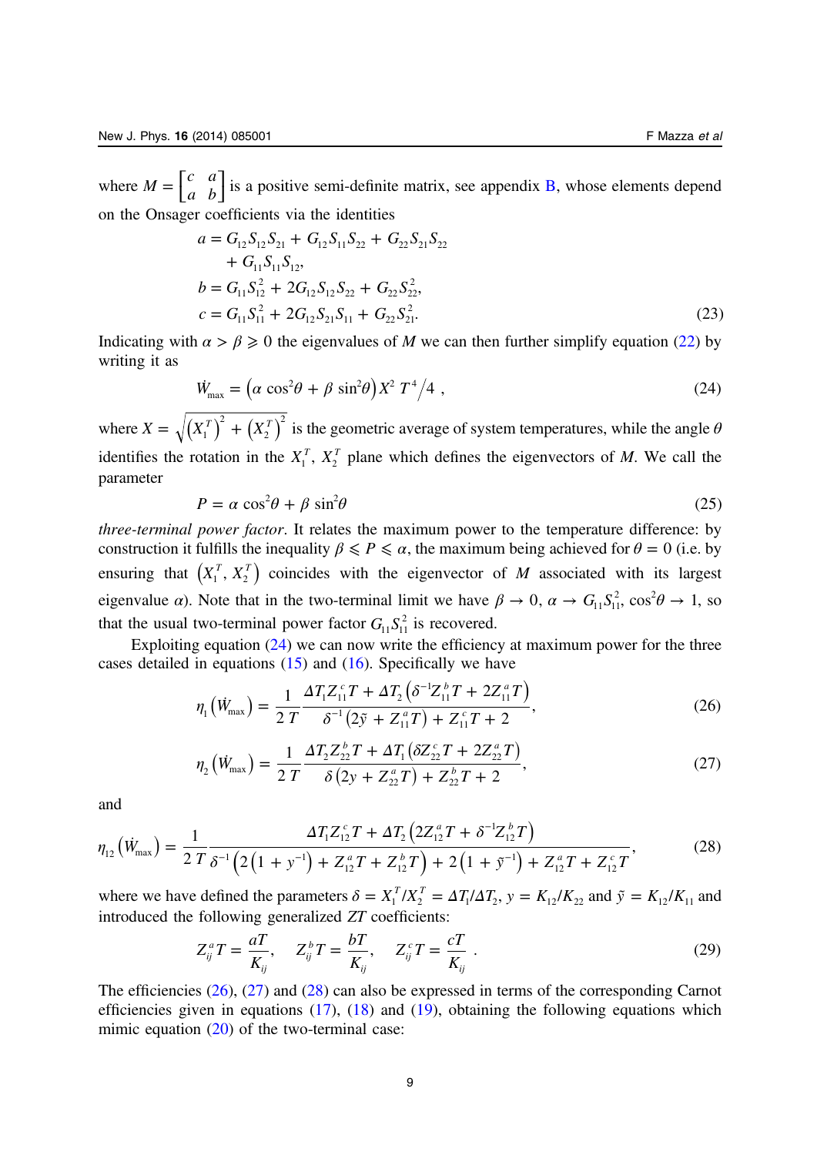<span id="page-9-0"></span>where  $M = \begin{bmatrix} c & a \\ a & b \end{bmatrix}$  is a positive semi-definite matrix, see appendix [B](#page-20-0), whose elements depend on the Onsager coefficients via the identities

$$
a = G_{12}S_{12}S_{21} + G_{12}S_{11}S_{22} + G_{22}S_{21}S_{22}
$$
  
+  $G_{11}S_{11}S_{12}$ ,  

$$
b = G_{11}S_{12}^{2} + 2G_{12}S_{12}S_{22} + G_{22}S_{22}^{2},
$$

$$
c = G_{11}S_{11}^{2} + 2G_{12}S_{21}S_{11} + G_{22}S_{21}^{2}.
$$
 (23)

Indicating with  $\alpha > \beta \geq 0$  the eigenvalues of M we can then further simplify equation ([22\)](#page-8-0) by writing it as

$$
\dot{W}_{\text{max}} = \left(\alpha \cos^2 \theta + \beta \sin^2 \theta\right) X^2 T^4 / 4 \tag{24}
$$

where  $X = \sqrt{(X_1^T)^2 + (X_2^T)}$ 2 2  $=\sqrt{(X_1^T)^2+(X_2^T)^2}$  is the geometric average of system temperatures, while the angle  $\theta$ identifies the rotation in the  $X_1^T$ ,  $X_2^T$  plane which defines the eigenvectors of M. We call the parameter

$$
P = \alpha \cos^2 \theta + \beta \sin^2 \theta \tag{25}
$$

three-terminal power factor. It relates the maximum power to the temperature difference: by construction it fulfills the inequality  $\beta \leq P \leq \alpha$ , the maximum being achieved for  $\theta = 0$  (i.e. by ensuring that  $(X_1^T, X_2^T)$  coincides with the eigenvector of M associated with its largest eigenvalue *a*). Note that in the two-terminal limit we have  $\beta \to 0$ ,  $\alpha \to G_{11} S_{11}^2$ ,  $\cos^2 \theta \to 1$ , so that the usual two-terminal power factor  $G_{11}S_{11}^2$  is recovered.

Exploiting equation  $(24)$  we can now write the efficiency at maximum power for the three cases detailed in equations  $(15)$  $(15)$  and  $(16)$  $(16)$ . Specifically we have

$$
\eta_1\left(\dot{W}_{\text{max}}\right) = \frac{1}{2 T} \frac{\Delta T_1 Z_{11}^c T + \Delta T_2 \left(\delta^{-1} Z_{11}^b T + 2 Z_{11}^a T\right)}{\delta^{-1} \left(2 \tilde{y} + Z_{11}^a T\right) + Z_{11}^c T + 2},\tag{26}
$$

$$
\eta_2\left(\dot{W}_{\text{max}}\right) = \frac{1}{2} \frac{\Delta T_2 Z_{22}^b T + \Delta T_1 \left(\delta Z_{22}^c T + 2 Z_{22}^a T\right)}{\delta \left(2y + Z_{22}^a T\right) + Z_{22}^b T + 2},\tag{27}
$$

and

$$
\eta_{12}(\dot{W}_{\text{max}}) = \frac{1}{2 T} \frac{\Delta T_1 Z_{12}^c T + \Delta T_2 \left(2 Z_{12}^a T + \delta^{-1} Z_{12}^b T\right)}{S^{-1} \left(2 \left(1 + y^{-1}\right) + Z_{12}^a T + Z_{12}^b T\right) + 2 \left(1 + y^{-1}\right) + Z_{12}^a T + Z_{12}^c T},\tag{28}
$$

where we have defined the parameters  $\delta = X_1^T / X_2^T = \Delta T_1 / \Delta T_2$ ,  $y = K_{12} / K_{22}$  and  $\tilde{y} = K_{12} / K_{11}$  and introduced the following generalized ZT coefficients:

$$
Z_{ij}^a T = \frac{aT}{K_{ij}}, \quad Z_{ij}^b T = \frac{bT}{K_{ij}}, \quad Z_{ij}^c T = \frac{cT}{K_{ij}}.
$$
\n
$$
(29)
$$

The efficiencies (26), (27) and (28) can also be expressed in terms of the corresponding Carnot efficiencies given in equations  $(17)$  $(17)$ ,  $(18)$  $(18)$  and  $(19)$  $(19)$ , obtaining the following equations which mimic equation  $(20)$  $(20)$  of the two-terminal case: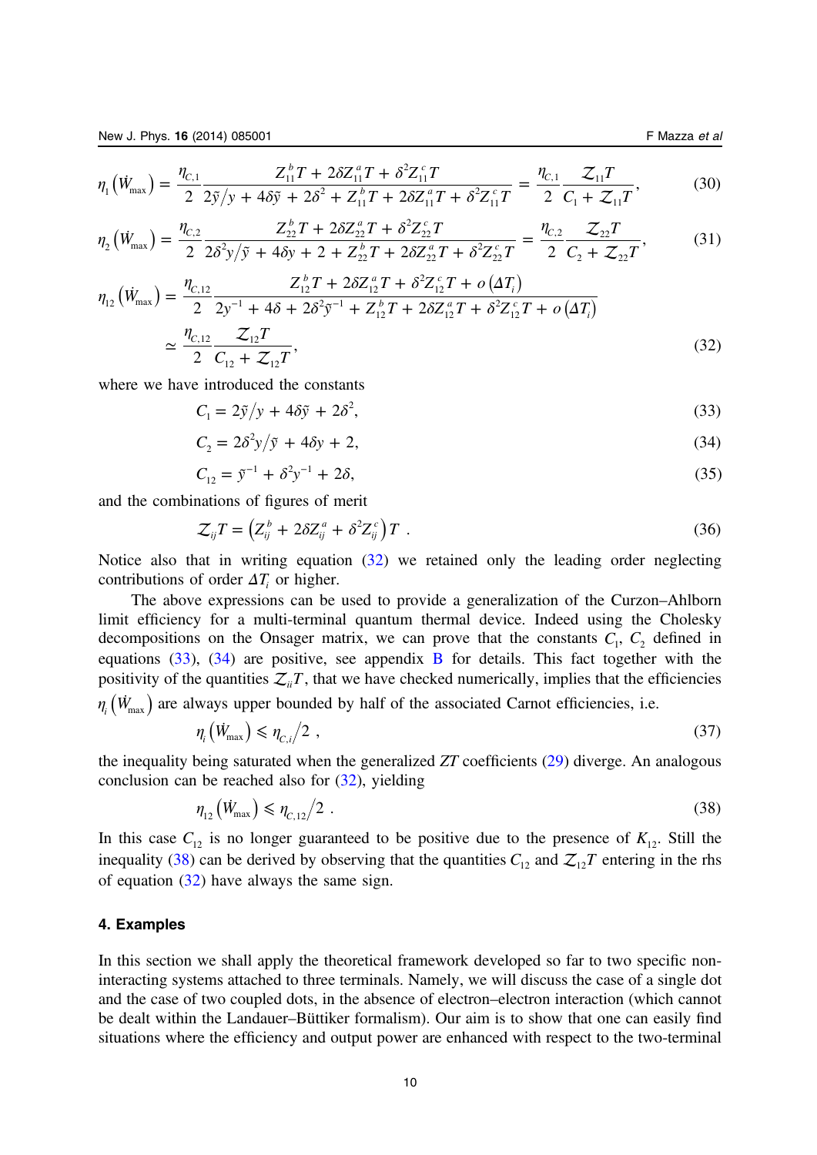<span id="page-10-0"></span>
$$
\eta_1\left(\dot{W}_{\text{max}}\right) = \frac{\eta_{c,1}}{2} \frac{Z_{11}^b T + 2\delta Z_{11}^a T + \delta^2 Z_{11}^c T}{2\tilde{y}/y + 4\delta\tilde{y} + 2\delta^2 + Z_{11}^b T + 2\delta Z_{11}^a T + \delta^2 Z_{11}^c T} = \frac{\eta_{c,1}}{2} \frac{\mathcal{Z}_{11} T}{C_1 + \mathcal{Z}_{11} T},\tag{30}
$$

$$
\eta_2(\dot{W}_{\text{max}}) = \frac{\eta_{c,2}}{2} \frac{Z_{22}^b T + 2\delta Z_{22}^a T + \delta^2 Z_{22}^c T}{2\delta^2 y/\tilde{y} + 4\delta y + 2 + Z_{22}^b T + 2\delta Z_{22}^a T + \delta^2 Z_{22}^c T} = \frac{\eta_{c,2}}{2} \frac{Z_{22} T}{C_2 + Z_{22} T},
$$
(31)

$$
\eta_{12} (W_{\text{max}}) = \frac{\eta_{C,12}}{2} \frac{Z_{12}^b T + 2\delta Z_{12}^a T + \delta^2 Z_{12}^c T + o(\Delta T_i)}{2 \Sigma y^{-1} + 4\delta + 2\delta^2 \tilde{y}^{-1} + Z_{12}^b T + 2\delta Z_{12}^a T + \delta^2 Z_{12}^c T + o(\Delta T_i)}
$$
  

$$
\approx \frac{\eta_{C,12}}{2} \frac{Z_{12} T}{C_{12} + Z_{12} T},
$$
(32)

where we have introduced the constants

$$
C_1 = 2\tilde{y}/y + 4\delta\tilde{y} + 2\delta^2,\tag{33}
$$

$$
C_2 = 2\delta^2 y/\tilde{y} + 4\delta y + 2,\tag{34}
$$

$$
C_{12} = \tilde{y}^{-1} + \delta^2 y^{-1} + 2\delta,
$$
\n(35)

and the combinations of figures of merit

$$
\mathcal{Z}_{ij}T = \left(Z_{ij}^b + 2\delta Z_{ij}^a + \delta^2 Z_{ij}^c\right)T\tag{36}
$$

Notice also that in writing equation (32) we retained only the leading order neglecting contributions of order  $\Delta T$ <sub>i</sub> or higher.

The above expressions can be used to provide a generalization of the Curzon–Ahlborn limit efficiency for a multi-terminal quantum thermal device. Indeed using the Cholesky decompositions on the Onsager matrix, we can prove that the constants  $C_1$ ,  $C_2$  defined in equations  $(33)$ ,  $(34)$  are positive, see appendix [B](#page-20-0) for details. This fact together with the positivity of the quantities  $\mathcal{Z}_{ii}T$ , that we have checked numerically, implies that the efficiencies  $\eta_i$  ( $\dot{W}_{\text{max}}$ ) are always upper bounded by half of the associated Carnot efficiencies, i.e.

$$
\eta_i\left(\dot{W}_{\text{max}}\right) \leqslant \eta_{C,i}/2 \tag{37}
$$

the inequality being saturated when the generalized ZT coefficients ([29\)](#page-9-0) diverge. An analogous conclusion can be reached also for (32), yielding

$$
\eta_{12}(\dot{W}_{\text{max}}) \le \eta_{C,12}/2 \tag{38}
$$

In this case  $C_{12}$  is no longer guaranteed to be positive due to the presence of  $K_{12}$ . Still the inequality (38) can be derived by observing that the quantities  $C_{12}$  and  $Z_{12}T$  entering in the rhs of equation (32) have always the same sign.

# 4. Examples

In this section we shall apply the theoretical framework developed so far to two specific noninteracting systems attached to three terminals. Namely, we will discuss the case of a single dot and the case of two coupled dots, in the absence of electron–electron interaction (which cannot be dealt within the Landauer–Büttiker formalism). Our aim is to show that one can easily find situations where the efficiency and output power are enhanced with respect to the two-terminal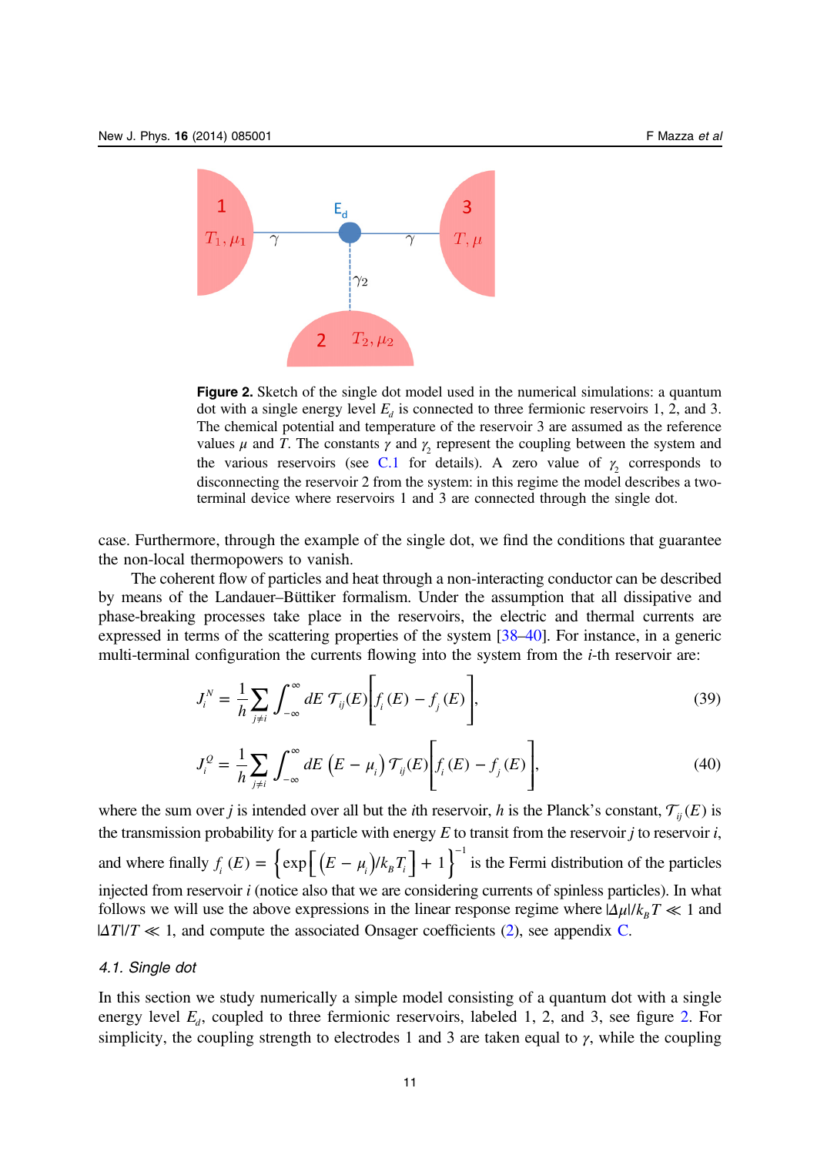<span id="page-11-0"></span>

Figure 2. Sketch of the single dot model used in the numerical simulations: a quantum dot with a single energy level  $E_d$  is connected to three fermionic reservoirs 1, 2, and 3. The chemical potential and temperature of the reservoir 3 are assumed as the reference values  $\mu$  and T. The constants  $\gamma$  and  $\gamma$  represent the coupling between the system and the various reservoirs (see [C.1](#page-22-0) for details). A zero value of  $\gamma_2$  corresponds to disconnecting the reservoir 2 from the system: in this regime the model describes a twoterminal device where reservoirs 1 and 3 are connected through the single dot.

case. Furthermore, through the example of the single dot, we find the conditions that guarantee the non-local thermopowers to vanish.

The coherent flow of particles and heat through a non-interacting conductor can be described by means of the Landauer–Büttiker formalism. Under the assumption that all dissipative and phase-breaking processes take place in the reservoirs, the electric and thermal currents are expressed in terms of the scattering properties of the system [[38](#page-24-0)–[40\]](#page-24-0). For instance, in a generic multi-terminal configuration the currents flowing into the system from the i-th reservoir are:

$$
J_i^N = \frac{1}{h} \sum_{j \neq i} \int_{-\infty}^{\infty} dE \, \mathcal{T}_{ij}(E) \Bigg[ f_i(E) - f_j(E) \Bigg],\tag{39}
$$

$$
J_i^{\mathcal{Q}} = \frac{1}{h} \sum_{j \neq i} \int_{-\infty}^{\infty} dE \left( E - \mu_i \right) \mathcal{T}_{ij}(E) \left[ f_i(E) - f_j(E) \right], \tag{40}
$$

where the sum over *j* is intended over all but the *i*th reservoir, *h* is the Planck's constant,  $\mathcal{T}_{ii}(E)$  is the transmission probability for a particle with energy  $E$  to transit from the reservoir  $i$  to reservoir  $i$ , and where finally  $f_i(E) = \left\{ \exp \left[ (E - \mu_i)/k_B T_i \right] + 1 \right\}^{-1}$  is the Fermi distribution of the particles injected from reservoir i (notice also that we are considering currents of spinless particles). In what follows we will use the above expressions in the linear response regime where  $\frac{\Delta \mu}{k_B} T \ll 1$  and  $|\Delta T|/T \ll 1$ , and compute the associated Onsager coefficients ([2\)](#page-3-0), see appendix [C.](#page-22-0)

# 4.1. Single dot

In this section we study numerically a simple model consisting of a quantum dot with a single energy level  $E_d$ , coupled to three fermionic reservoirs, labeled 1, 2, and 3, see figure 2. For simplicity, the coupling strength to electrodes 1 and 3 are taken equal to  $\gamma$ , while the coupling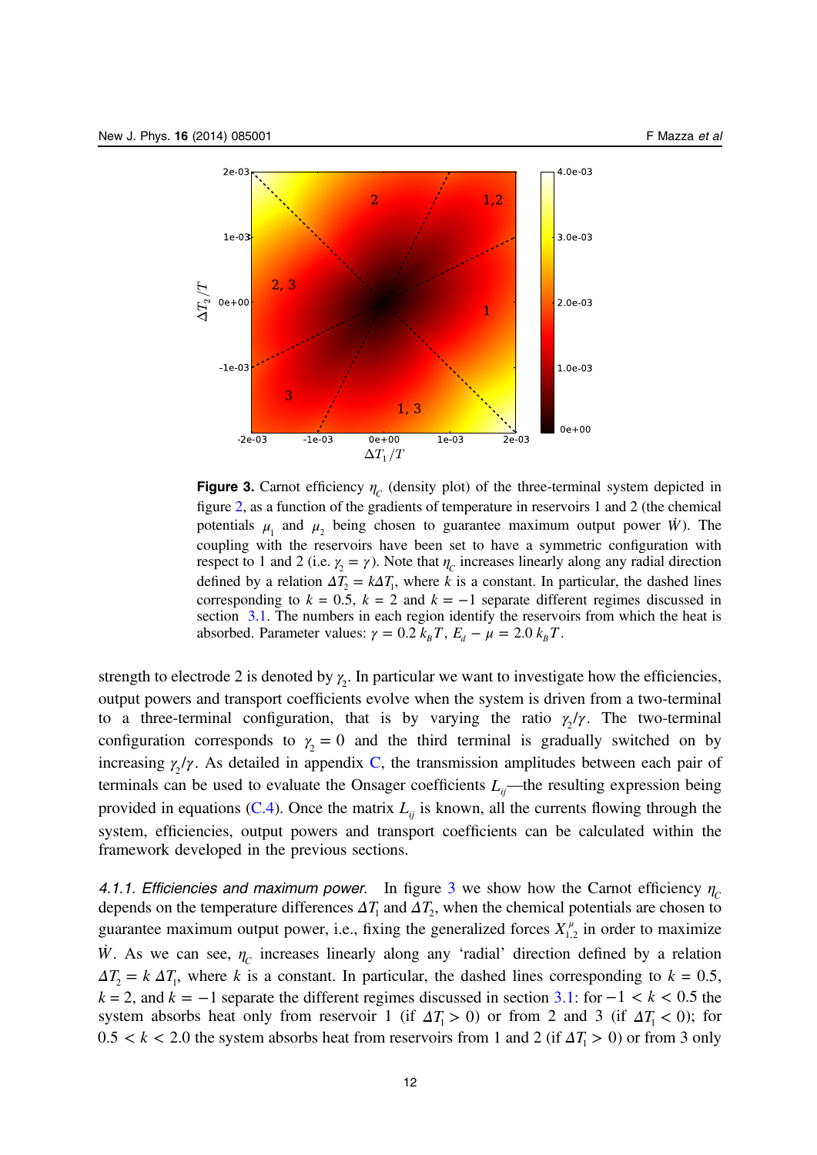

**Figure 3.** Carnot efficiency  $\eta_c$  (density plot) of the three-terminal system depicted in figure [2,](#page-11-0) as a function of the gradients of temperature in reservoirs 1 and 2 (the chemical potentials  $\mu_1$  and  $\mu_2$  being chosen to guarantee maximum output power *W*). The coupling with the reservoirs have been set to have a symmetric configuration with respect to 1 and 2 (i.e.  $\gamma_2 = \gamma$ ). Note that  $\eta_c$  increases linearly along any radial direction defined by a relation  $\Delta T_2 = k \Delta T_1$ , where k is a constant. In particular, the dashed lines corresponding to  $k = 0.5$ ,  $k = 2$  and  $k = -1$  separate different regimes discussed in section [3.1](#page-7-0). The numbers in each region identify the reservoirs from which the heat is absorbed. Parameter values:  $\gamma = 0.2$   $k_B T$ ,  $E_d - \mu = 2.0$   $k_B T$ .

strength to electrode 2 is denoted by  $\gamma_2$ . In particular we want to investigate how the efficiencies, output powers and transport coefficients evolve when the system is driven from a two-terminal to a three-terminal configuration, that is by varying the ratio  $\gamma_2/\gamma$ . The two-terminal configuration corresponds to  $\gamma_2 = 0$  and the third terminal is gradually switched on by increasing  $\gamma_2/\gamma$ . As detailed in appendix [C,](#page-22-0) the transmission amplitudes between each pair of terminals can be used to evaluate the Onsager coefficients  $L_{ii}$ —the resulting expression being provided in equations  $(C.4)$ . Once the matrix  $L_{ii}$  is known, all the currents flowing through the system, efficiencies, output powers and transport coefficients can be calculated within the framework developed in the previous sections.

4.1.1. Efficiencies and maximum power. In figure 3 we show how the Carnot efficiency  $\eta_c$ depends on the temperature differences  $\Delta T_1$  and  $\Delta T_2$ , when the chemical potentials are chosen to guarantee maximum output power, i.e., fixing the generalized forces  $X_{1,2}^{\mu}$  in order to maximize *W*. As we can see,  $\eta_c$  increases linearly along any 'radial' direction defined by a relation  $\Delta T$ <sub>2</sub> = *k*  $\Delta T$ <sub>1</sub>, where *k* is a constant. In particular, the dashed lines corresponding to *k* = 0.5,  $k = 2$ , and  $k = -1$  separate the different regimes discussed in section [3.1:](#page-7-0) for  $-1 < k < 0.5$  the system absorbs heat only from reservoir 1 (if  $\Delta T_1 > 0$ ) or from 2 and 3 (if  $\Delta T_1 < 0$ ); for  $0.5 < k < 2.0$  the system absorbs heat from reservoirs from 1 and 2 (if  $\Delta T_1 > 0$ ) or from 3 only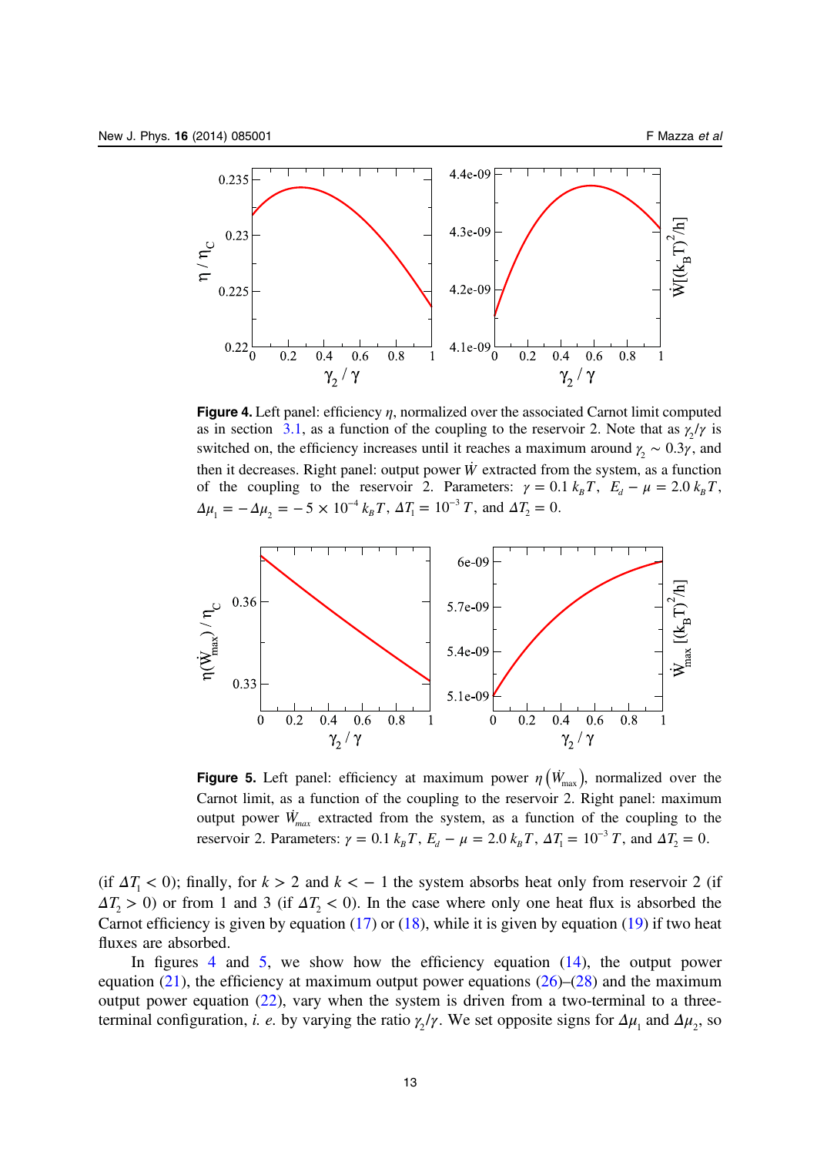<span id="page-13-0"></span>

**Figure 4.** Left panel: efficiency  $\eta$ , normalized over the associated Carnot limit computed as in section [3.1](#page-7-0), as a function of the coupling to the reservoir 2. Note that as  $\gamma_2/\gamma$  is switched on, the efficiency increases until it reaches a maximum around  $\gamma_2 \sim 0.3 \gamma$ , and then it decreases. Right panel: output power  $\dot{W}$  extracted from the system, as a function of the coupling to the reservoir 2. Parameters:  $\gamma = 0.1 k_B T$ ,  $E_d - \mu = 2.0 k_B T$ ,  $\Delta \mu_1 = -\Delta \mu_2 = -5 \times 10^{-4} k_B T$ ,  $\Delta T_1 = 10^{-3} T$ , and  $\Delta T_2 = 0$ .



**Figure 5.** Left panel: efficiency at maximum power  $\eta$  ( $\dot{W}_{\text{max}}$ ), normalized over the Carnot limit, as a function of the coupling to the reservoir 2. Right panel: maximum output power  $\dot{W}_{max}$  extracted from the system, as a function of the coupling to the reservoir 2. Parameters:  $\gamma = 0.1$   $k_B T$ ,  $E_d - \mu = 2.0$   $k_B T$ ,  $\Delta T_1 = 10^{-3} T$ , and  $\Delta T_2 = 0$ .

(if  $\Delta T_1$  < 0); finally, for  $k > 2$  and  $k < -1$  the system absorbs heat only from reservoir 2 (if  $\Delta T$   $>$  0) or from 1 and 3 (if  $\Delta T$   $<$  0). In the case where only one heat flux is absorbed the Carnot efficiency is given by equation  $(17)$  $(17)$  or  $(18)$  $(18)$ , while it is given by equation  $(19)$  $(19)$  if two heat fluxes are absorbed.

In figures 4 and 5, we show how the efficiency equation  $(14)$  $(14)$ , the output power equation [\(21\)](#page-8-0), the efficiency at maximum output power equations [\(26](#page-9-0))–([28\)](#page-9-0) and the maximum output power equation  $(22)$  $(22)$ , vary when the system is driven from a two-terminal to a threeterminal configuration, *i. e.* by varying the ratio  $\gamma_2/\gamma$ . We set opposite signs for  $\Delta\mu_1$  and  $\Delta\mu_2$ , so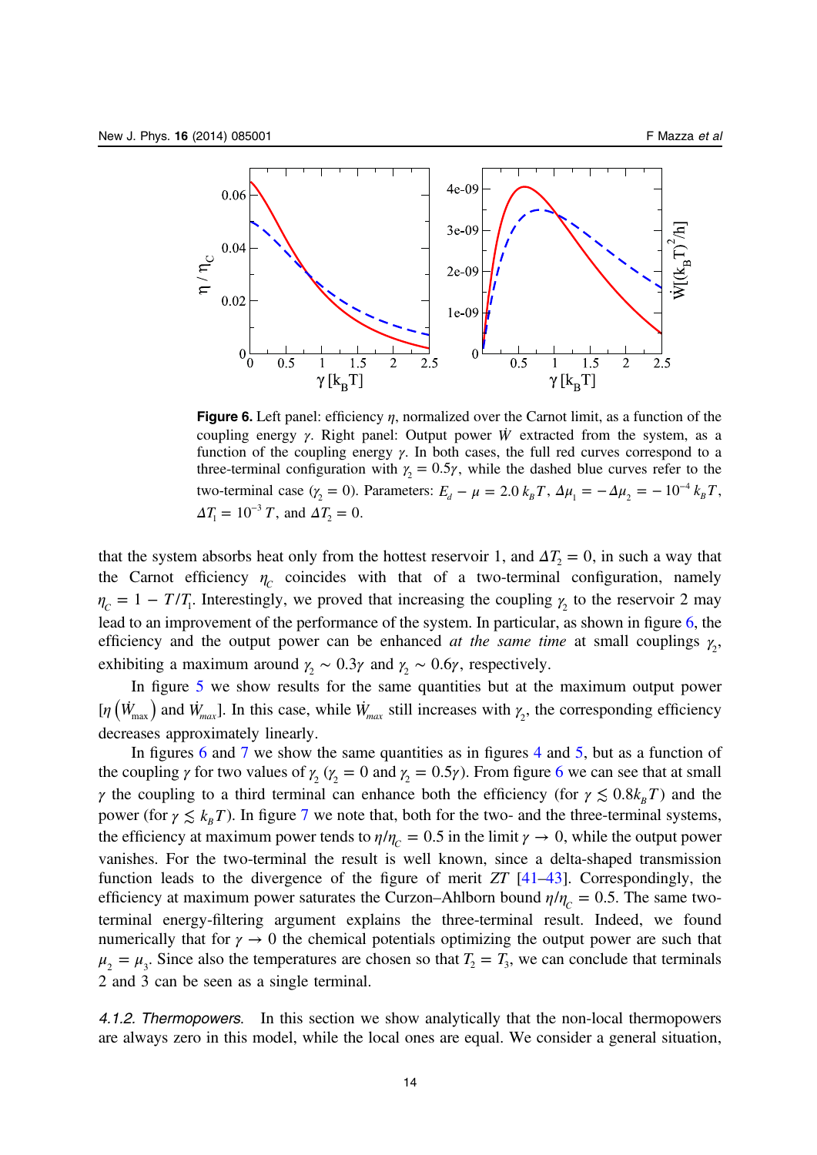

Figure 6. Left panel: efficiency  $\eta$ , normalized over the Carnot limit, as a function of the coupling energy γ. Right panel: Output power *W*˙ extracted from the system, as a function of the coupling energy  $\gamma$ . In both cases, the full red curves correspond to a three-terminal configuration with  $\gamma_2 = 0.5 \gamma$ , while the dashed blue curves refer to the two-terminal case ( $\gamma_2 = 0$ ). Parameters:  $E_d - \mu = 2.0 k_B T$ ,  $\Delta \mu_1 = -\Delta \mu_2 = -10^{-4} k_B T$ ,  $\Delta T_1 = 10^{-3} T$ , and  $\Delta T_2 = 0$ .

that the system absorbs heat only from the hottest reservoir 1, and  $\Delta T$  = 0, in such a way that the Carnot efficiency  $\eta_c$  coincides with that of a two-terminal configuration, namely  $\eta_c = 1 - T/T_1$ . Interestingly, we proved that increasing the coupling  $\gamma_2$  to the reservoir 2 may lead to an improvement of the performance of the system. In particular, as shown in figure 6, the efficiency and the output power can be enhanced at the same time at small couplings  $\gamma_2$ , exhibiting a maximum around  $\gamma_2 \sim 0.3\gamma$  and  $\gamma_2 \sim 0.6\gamma$ , respectively.

In figure [5](#page-13-0) we show results for the same quantities but at the maximum output power [*η*  $(W_{\text{max}})$  and  $W_{\text{max}}$ ]. In this case, while  $W_{\text{max}}$  still increases with  $\gamma_2$ , the corresponding efficiency decreases approximately linearly.

In figures 6 and [7](#page-15-0) we show the same quantities as in figures [4](#page-13-0) and [5](#page-13-0), but as a function of the coupling  $\gamma$  for two values of  $\gamma_2$  ( $\gamma_2 = 0$  and  $\gamma_2 = 0.5\gamma$ ). From figure 6 we can see that at small γ the coupling to a third terminal can enhance both the efficiency (for  $\gamma \lesssim 0.8k_{B}T$ ) and the power (for  $\gamma \lesssim k_B T$ ). In figure [7](#page-15-0) we note that, both for the two- and the three-terminal systems, the efficiency at maximum power tends to  $\eta/\eta_c = 0.5$  in the limit  $\gamma \to 0$ , while the output power vanishes. For the two-terminal the result is well known, since a delta-shaped transmission function leads to the divergence of the figure of merit  $ZT$  [\[41](#page-24-0)–[43](#page-24-0)]. Correspondingly, the efficiency at maximum power saturates the Curzon–Ahlborn bound  $\eta/\eta_c = 0.5$ . The same twoterminal energy-filtering argument explains the three-terminal result. Indeed, we found numerically that for  $\gamma \to 0$  the chemical potentials optimizing the output power are such that  $\mu_2 = \mu_3$ . Since also the temperatures are chosen so that  $T_2 = T_3$ , we can conclude that terminals 2 and 3 can be seen as a single terminal.

4.1.2. Thermopowers. In this section we show analytically that the non-local thermopowers are always zero in this model, while the local ones are equal. We consider a general situation,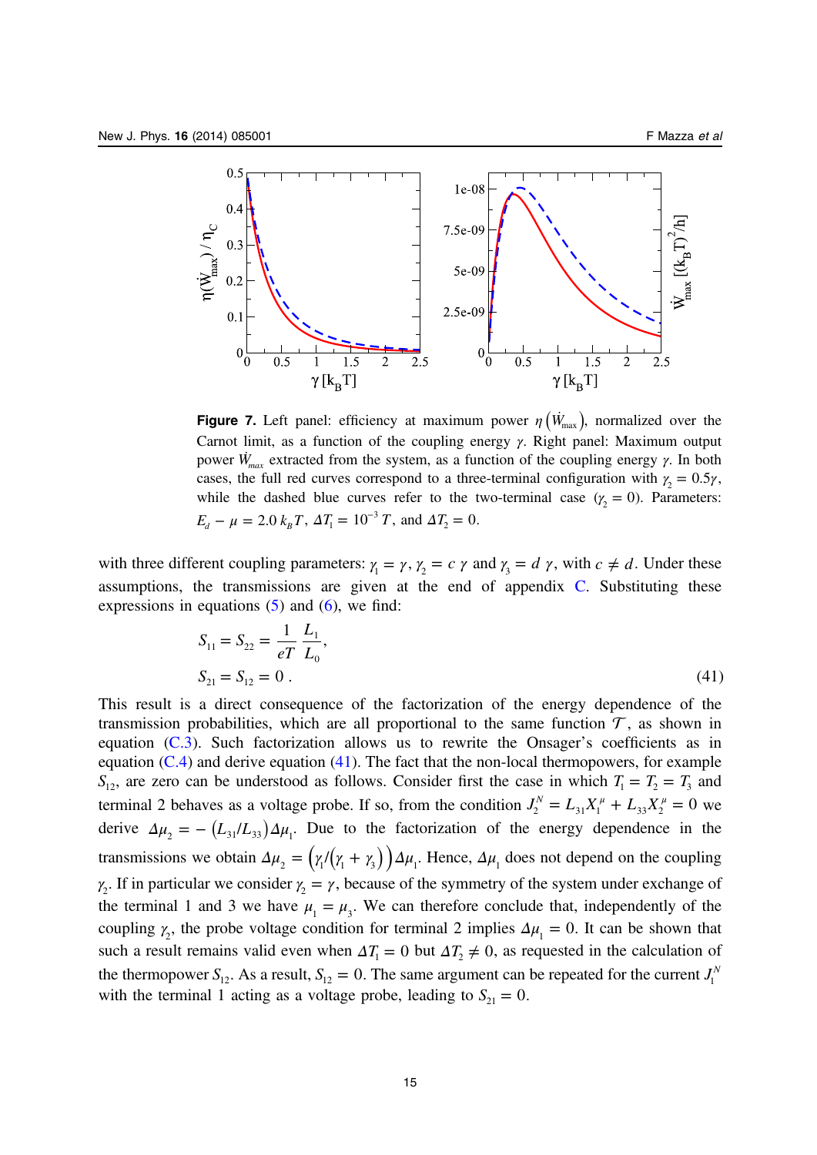<span id="page-15-0"></span>

**Figure 7.** Left panel: efficiency at maximum power  $\eta$  ( $\dot{W}_{\text{max}}$ ), normalized over the Carnot limit, as a function of the coupling energy  $\gamma$ . Right panel: Maximum output power  $\dot{W}_{max}$  extracted from the system, as a function of the coupling energy γ. In both cases, the full red curves correspond to a three-terminal configuration with  $\gamma_2 = 0.5 \gamma$ , while the dashed blue curves refer to the two-terminal case  $(y_2 = 0)$ . Parameters:  $E_d - \mu = 2.0 \ k_B T$ ,  $\Delta T_1 = 10^{-3} T$ , and  $\Delta T_2 = 0$ .

with three different coupling parameters:  $\gamma_1 = \gamma$ ,  $\gamma_2 = c \gamma$  and  $\gamma_3 = d \gamma$ , with  $c \neq d$ . Under these assumptions, the transmissions are given at the end of appendix [C.](#page-22-0) Substituting these expressions in equations  $(5)$  $(5)$  $(5)$  and  $(6)$  $(6)$ , we find:

$$
S_{11} = S_{22} = \frac{1}{eT} \frac{L_1}{L_0},
$$
  
\n
$$
S_{21} = S_{12} = 0.
$$
\n(41)

This result is a direct consequence of the factorization of the energy dependence of the transmission probabilities, which are all proportional to the same function  $\mathcal T$ , as shown in equation [\(C.3](#page-23-0)). Such factorization allows us to rewrite the Onsager's coefficients as in equation  $(C.4)$  $(C.4)$  and derive equation  $(41)$ . The fact that the non-local thermopowers, for example  $S_{12}$ , are zero can be understood as follows. Consider first the case in which  $T_1 = T_2 = T_3$  and terminal 2 behaves as a voltage probe. If so, from the condition  $J_2^N = L_{31}X_1^{\mu} + L_{33}X_2^{\mu} = 0$  we derive  $\Delta \mu_2 = - (L_{31}/ L_{33}) \Delta \mu_1$ . Due to the factorization of the energy dependence in the transmissions we obtain  $\Delta \mu_2 = (\gamma_1/(\gamma_1 + \gamma_3)) \Delta \mu_1$ . Hence,  $\Delta \mu_1$  does not depend on the coupling  $\gamma_2$ . If in particular we consider  $\gamma_2 = \gamma$ , because of the symmetry of the system under exchange of the terminal 1 and 3 we have  $\mu_1 = \mu_3$ . We can therefore conclude that, independently of the coupling  $\gamma_2$ , the probe voltage condition for terminal 2 implies  $\Delta \mu_1 = 0$ . It can be shown that such a result remains valid even when  $\Delta T_1 = 0$  but  $\Delta T_2 \neq 0$ , as requested in the calculation of the thermopower  $S_{12}$ . As a result,  $S_{12} = 0$ . The same argument can be repeated for the current  $J_1^N$ with the terminal 1 acting as a voltage probe, leading to  $S_{21} = 0$ .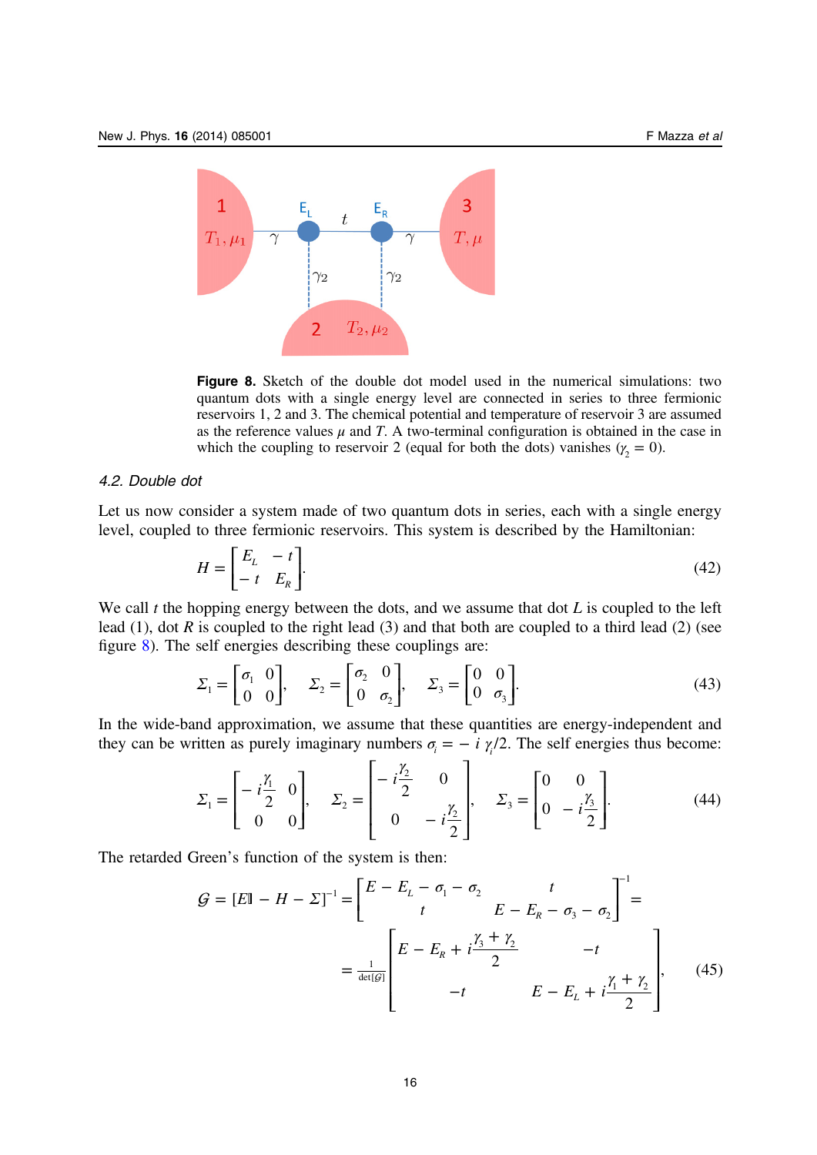

Figure 8. Sketch of the double dot model used in the numerical simulations: two quantum dots with a single energy level are connected in series to three fermionic reservoirs 1, 2 and 3. The chemical potential and temperature of reservoir 3 are assumed as the reference values  $\mu$  and T. A two-terminal configuration is obtained in the case in which the coupling to reservoir 2 (equal for both the dots) vanishes ( $\gamma_2 = 0$ ).

#### 4.2. Double dot

Let us now consider a system made of two quantum dots in series, each with a single energy level, coupled to three fermionic reservoirs. This system is described by the Hamiltonian:

$$
H = \begin{bmatrix} E_L & -t \\ -t & E_R \end{bmatrix}.
$$
 (42)

We call  $t$  the hopping energy between the dots, and we assume that dot  $L$  is coupled to the left lead (1), dot R is coupled to the right lead (3) and that both are coupled to a third lead (2) (see figure 8). The self energies describing these couplings are:

$$
\Sigma_1 = \begin{bmatrix} \sigma_1 & 0 \\ 0 & 0 \end{bmatrix}, \quad \Sigma_2 = \begin{bmatrix} \sigma_2 & 0 \\ 0 & \sigma_2 \end{bmatrix}, \quad \Sigma_3 = \begin{bmatrix} 0 & 0 \\ 0 & \sigma_3 \end{bmatrix}.
$$
 (43)

In the wide-band approximation, we assume that these quantities are energy-independent and they can be written as purely imaginary numbers  $\sigma_i = -i \gamma/2$ . The self energies thus become:

$$
\Sigma_1 = \begin{bmatrix} -i\frac{\gamma_1}{2} & 0 \\ 0 & 0 \end{bmatrix}, \quad \Sigma_2 = \begin{bmatrix} -i\frac{\gamma_2}{2} & 0 \\ 0 & -i\frac{\gamma_2}{2} \end{bmatrix}, \quad \Sigma_3 = \begin{bmatrix} 0 & 0 \\ 0 & -i\frac{\gamma_3}{2} \end{bmatrix}.
$$
 (44)

The retarded Green's function of the system is then:

$$
G = [E1 - H - \Sigma]^{-1} = \begin{bmatrix} E - E_L - \sigma_1 - \sigma_2 & t \\ t & E - E_R - \sigma_3 - \sigma_2 \end{bmatrix}^{-1} =
$$

$$
= \frac{1}{\det(g)} \begin{bmatrix} E - E_R + i\frac{\gamma_3 + \gamma_2}{2} & -t \\ -t & E - E_L + i\frac{\gamma_1 + \gamma_2}{2} \end{bmatrix}, \quad (45)
$$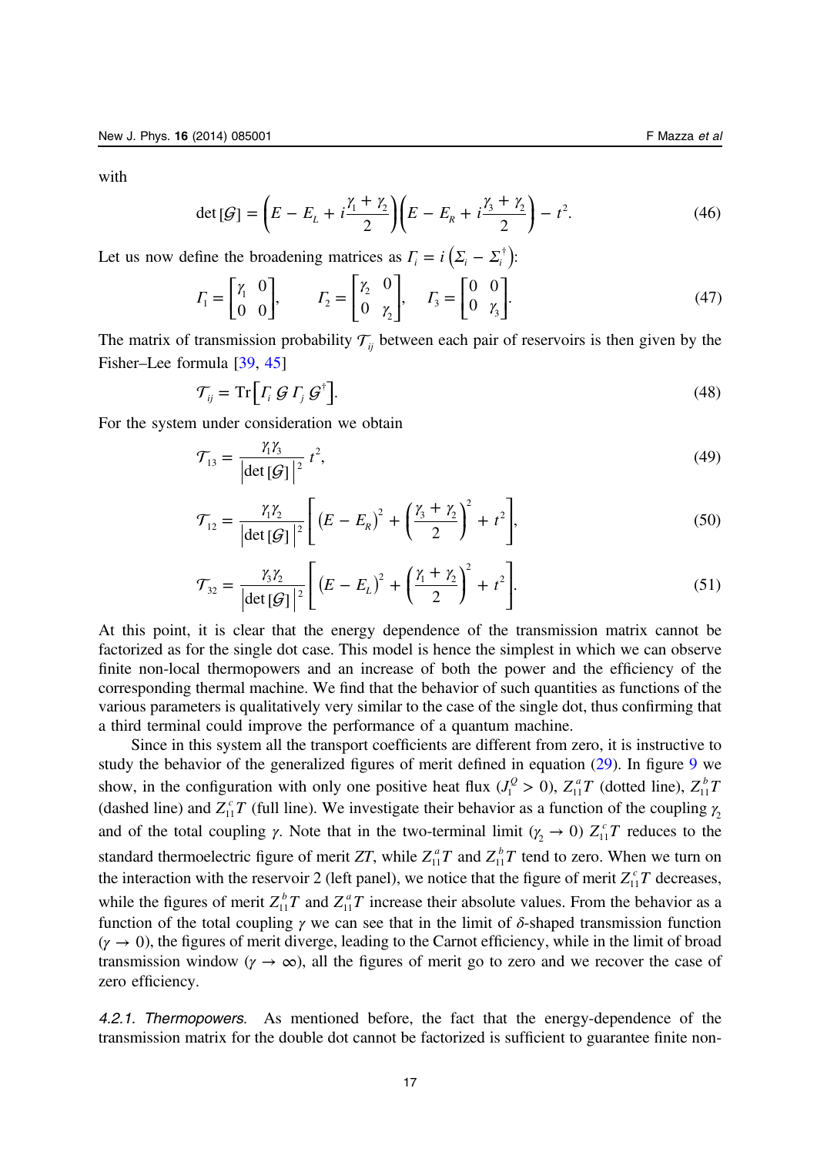with

$$
\det[\mathcal{G}] = \left( E - E_L + i \frac{\gamma_1 + \gamma_2}{2} \right) \left( E - E_R + i \frac{\gamma_3 + \gamma_2}{2} \right) - t^2.
$$
 (46)

Let us now define the broadening matrices as  $\Gamma_i = i \left( \Sigma_i - \Sigma_i^{\dagger} \right)$ :

$$
\Gamma_1 = \begin{bmatrix} \gamma_1 & 0 \\ 0 & 0 \end{bmatrix}, \qquad \Gamma_2 = \begin{bmatrix} \gamma_2 & 0 \\ 0 & \gamma_2 \end{bmatrix}, \qquad \Gamma_3 = \begin{bmatrix} 0 & 0 \\ 0 & \gamma_3 \end{bmatrix}.
$$
 (47)

The matrix of transmission probability  $\mathcal{T}_{ii}$  between each pair of reservoirs is then given by the Fisher–Lee formula [\[39](#page-24-0), [45](#page-24-0)]

$$
\mathcal{T}_{ij} = \operatorname{Tr} \left[ \Gamma_i \mathcal{G} \Gamma_j \mathcal{G}^\dagger \right]. \tag{48}
$$

For the system under consideration we obtain

$$
\mathcal{T}_{13} = \frac{\gamma_1 \gamma_3}{\left|\det[\mathcal{G}]\right|^2} t^2,\tag{49}
$$

$$
\mathcal{T}_{12} = \frac{\gamma_1 \gamma_2}{\left| \det \left[ \mathcal{G} \right] \right|^2} \left[ \left( E - E_R \right)^2 + \left( \frac{\gamma_3 + \gamma_2}{2} \right)^2 + t^2 \right],\tag{50}
$$

$$
\mathcal{T}_{32} = \frac{\gamma_3 \gamma_2}{|\det[\mathcal{G}]\,|^2} \Bigg[ \left( E - E_L \right)^2 + \left( \frac{\gamma_1 + \gamma_2}{2} \right)^2 + t^2 \Bigg]. \tag{51}
$$

At this point, it is clear that the energy dependence of the transmission matrix cannot be factorized as for the single dot case. This model is hence the simplest in which we can observe finite non-local thermopowers and an increase of both the power and the efficiency of the corresponding thermal machine. We find that the behavior of such quantities as functions of the various parameters is qualitatively very similar to the case of the single dot, thus confirming that a third terminal could improve the performance of a quantum machine.

Since in this system all the transport coefficients are different from zero, it is instructive to study the behavior of the generalized figures of merit defined in equation [\(29](#page-9-0)). In figure [9](#page-18-0) we show, in the configuration with only one positive heat flux  $(J_1^Q > 0)$ ,  $Z_{11}^a T$  (dotted line),  $Z_{11}^b T$ (dashed line) and  $Z_{11}^c T$  (full line). We investigate their behavior as a function of the coupling  $\gamma_2$ and of the total coupling  $\gamma$ . Note that in the two-terminal limit ( $\gamma_2 \rightarrow 0$ )  $Z_{11}^c T$  reduces to the standard thermoelectric figure of merit ZT, while  $Z_{11}^a T$  and  $Z_{11}^b T$  tend to zero. When we turn on the interaction with the reservoir 2 (left panel), we notice that the figure of merit  $Z_{11}^c T$  decreases, while the figures of merit  $Z_{11}^b T$  and  $Z_{11}^a T$  increase their absolute values. From the behavior as a function of the total coupling  $\gamma$  we can see that in the limit of  $\delta$ -shaped transmission function  $(\gamma \to 0)$ , the figures of merit diverge, leading to the Carnot efficiency, while in the limit of broad transmission window ( $\gamma \to \infty$ ), all the figures of merit go to zero and we recover the case of zero efficiency.

4.2.1. Thermopowers. As mentioned before, the fact that the energy-dependence of the transmission matrix for the double dot cannot be factorized is sufficient to guarantee finite non-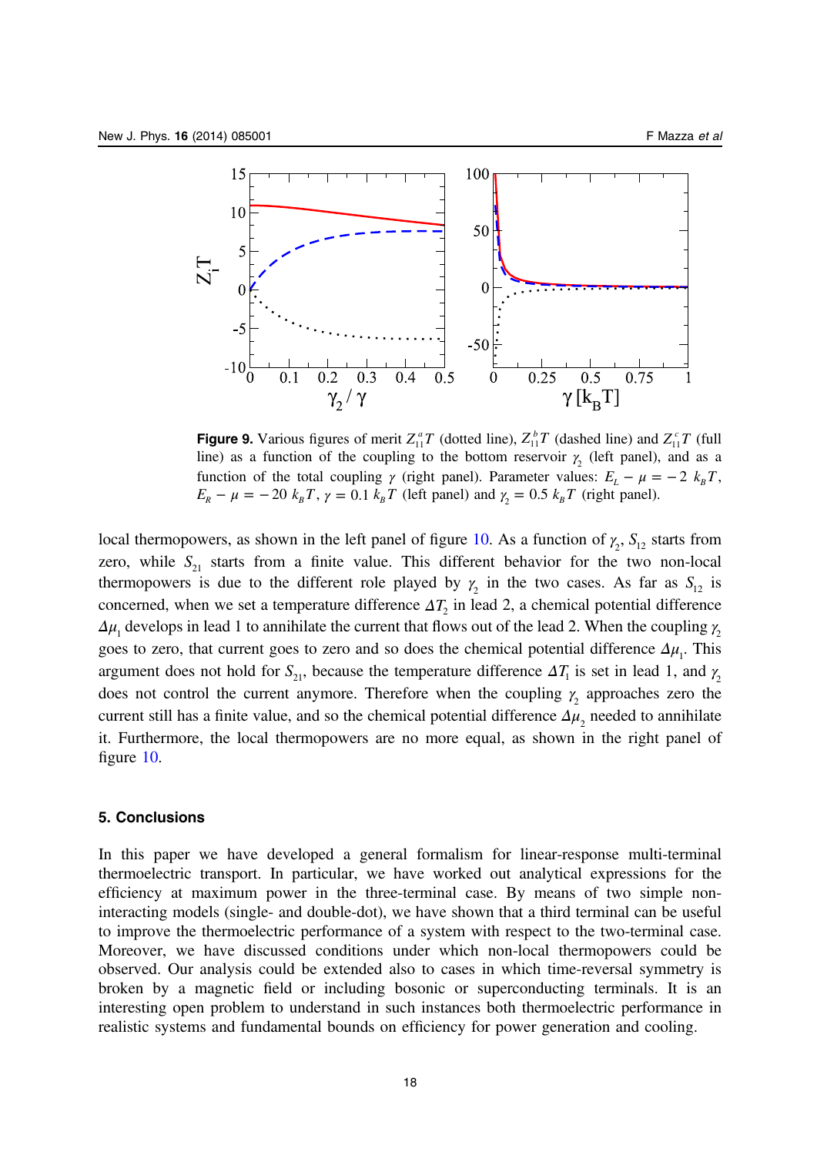<span id="page-18-0"></span>

**Figure 9.** Various figures of merit  $Z_{11}^a T$  (dotted line),  $Z_{11}^b T$  (dashed line) and  $Z_{11}^c T$  (full line) as a function of the coupling to the bottom reservoir  $\gamma_2$  (left panel), and as a function of the total coupling  $\gamma$  (right panel). Parameter values:  $E_L - \mu = -2 k_B T$ ,  $E_R - \mu = -20 \ k_B T$ ,  $\gamma = 0.1 \ k_B T$  (left panel) and  $\gamma_2 = 0.5 \ k_B T$  (right panel).

local thermopowers, as shown in the left panel of figure [10](#page-19-0). As a function of  $\gamma_2$ ,  $S_{12}$  starts from zero, while  $S_{21}$  starts from a finite value. This different behavior for the two non-local thermopowers is due to the different role played by  $\gamma_2$  in the two cases. As far as  $S_{12}$  is concerned, when we set a temperature difference  $\Delta T_2$  in lead 2, a chemical potential difference  $\Delta \mu_1$  develops in lead 1 to annihilate the current that flows out of the lead 2. When the coupling  $\gamma_2$ goes to zero, that current goes to zero and so does the chemical potential difference  $\Delta \mu$ . This argument does not hold for  $S_{21}$ , because the temperature difference  $\Delta T_1$  is set in lead 1, and  $\gamma_2$ does not control the current anymore. Therefore when the coupling  $γ_2$  approaches zero the current still has a finite value, and so the chemical potential difference  $\Delta \mu$ , needed to annihilate it. Furthermore, the local thermopowers are no more equal, as shown in the right panel of figure [10](#page-19-0).

# 5. Conclusions

In this paper we have developed a general formalism for linear-response multi-terminal thermoelectric transport. In particular, we have worked out analytical expressions for the efficiency at maximum power in the three-terminal case. By means of two simple noninteracting models (single- and double-dot), we have shown that a third terminal can be useful to improve the thermoelectric performance of a system with respect to the two-terminal case. Moreover, we have discussed conditions under which non-local thermopowers could be observed. Our analysis could be extended also to cases in which time-reversal symmetry is broken by a magnetic field or including bosonic or superconducting terminals. It is an interesting open problem to understand in such instances both thermoelectric performance in realistic systems and fundamental bounds on efficiency for power generation and cooling.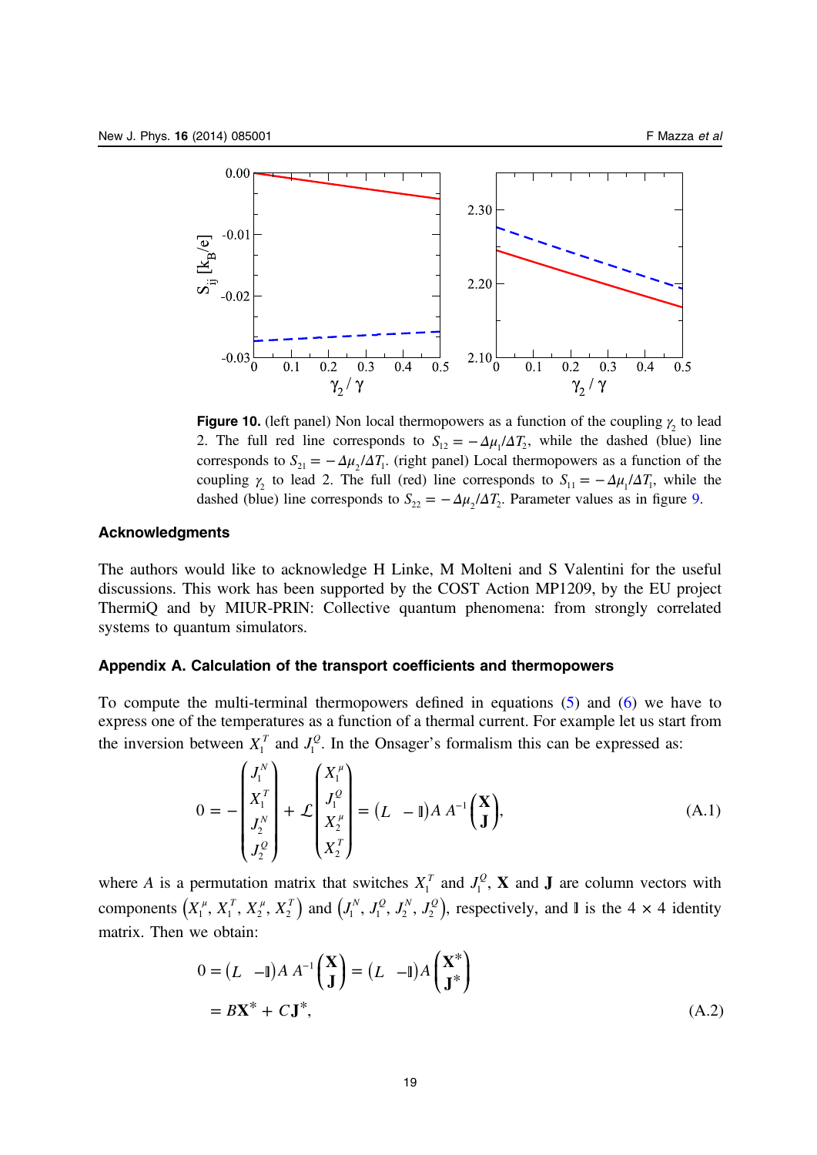<span id="page-19-0"></span>

**Figure 10.** (left panel) Non local thermopowers as a function of the coupling  $\gamma_2$  to lead 2. The full red line corresponds to  $S_{12} = -\Delta \mu_1 / \Delta T_2$ , while the dashed (blue) line corresponds to  $S_{21} = -\Delta \mu_2 / \Delta T_1$ . (right panel) Local thermopowers as a function of the coupling  $\gamma_2$  to lead 2. The full (red) line corresponds to  $S_{11} = -\Delta \mu_1 / \Delta T_1$ , while the dashed (blue) line corresponds to  $S_{22} = -\Delta \mu_2 / \Delta T_2$ . Parameter values as in figure [9.](#page-18-0)

# Acknowledgments

The authors would like to acknowledge H Linke, M Molteni and S Valentini for the useful discussions. This work has been supported by the COST Action MP1209, by the EU project ThermiQ and by MIUR-PRIN: Collective quantum phenomena: from strongly correlated systems to quantum simulators.

#### Appendix A. Calculation of the transport coefficients and thermopowers

To compute the multi-terminal thermopowers defined in equations ([5\)](#page-5-0) and ([6](#page-5-0)) we have to express one of the temperatures as a function of a thermal current. For example let us start from the inversion between  $X_1^T$  and  $J_1^Q$ . In the Onsager's formalism this can be expressed as:

$$
0 = -\begin{pmatrix} J_1^N \\ X_1^T \\ J_2^N \\ J_2^Q \end{pmatrix} + \mathcal{L} \begin{pmatrix} X_1^\mu \\ J_1^Q \\ X_2^\mu \\ X_2^T \end{pmatrix} = (L - \mathbb{I}) A A^{-1} \begin{pmatrix} \mathbf{X} \\ \mathbf{J} \end{pmatrix},
$$
(A.1)

where A is a permutation matrix that switches  $X_1^T$  and  $J_1^Q$ , **X** and **J** are column vectors with components  $(X_1^{\mu}, X_1^T, X_2^{\mu}, X_2^T)$  and  $(J_1^N, J_1^Q, J_2^N, J_2^Q)$ , respectively, and  $\mathbb{I}$  is the 4  $\times$  4 identity matrix. Then we obtain:

$$
0 = (L - \mathbb{I})A A^{-1} \begin{pmatrix} \mathbf{X} \\ \mathbf{J} \end{pmatrix} = (L - \mathbb{I})A \begin{pmatrix} \mathbf{X}^* \\ \mathbf{J}^* \end{pmatrix}
$$
  
=  $B\mathbf{X}^* + C\mathbf{J}^*,$  (A.2)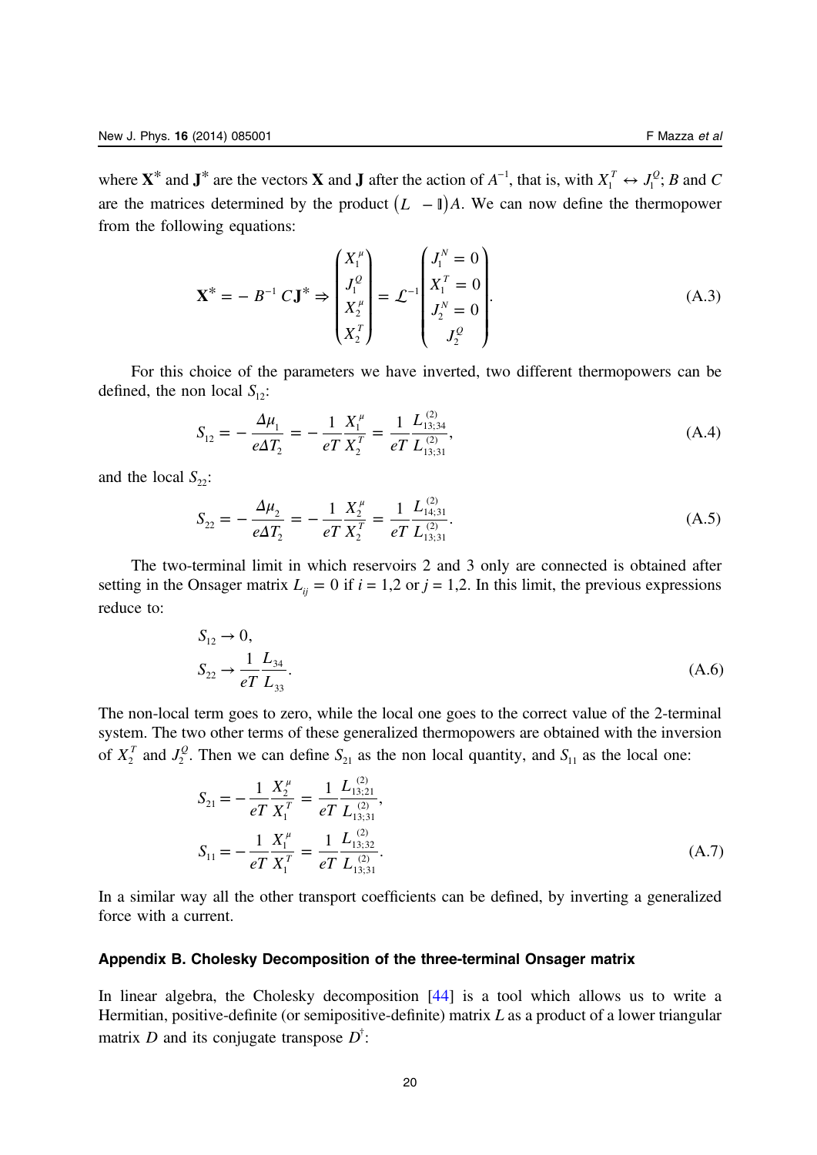<span id="page-20-0"></span>where  $X^*$  and  $J^*$  are the vectors  $X$  and  $J$  after the action of  $A^{-1}$ , that is, with  $X_1^T \leftrightarrow J_1^Q$ ;  $B$  and  $C$ are the matrices determined by the product  $(L - \mathbb{I})A$ . We can now define the thermopower from the following equations:

$$
\mathbf{X}^* = -B^{-1} C \mathbf{J}^* \Rightarrow \begin{pmatrix} X_1^{\mu} \\ J_1^{\mathcal{Q}} \\ X_2^{\mu} \\ X_2^{\tau} \end{pmatrix} = \mathcal{L}^{-1} \begin{pmatrix} J_1^N = 0 \\ X_1^T = 0 \\ J_2^N = 0 \\ J_2^{\mathcal{Q}} \end{pmatrix} .
$$
 (A.3)

For this choice of the parameters we have inverted, two different thermopowers can be defined, the non local  $S_{12}$ :

$$
S_{12} = -\frac{\Delta \mu_1}{e \Delta T_2} = -\frac{1}{e T} \frac{X_1^{\mu}}{X_2^T} = \frac{1}{e T} \frac{L_{13;34}^{(2)}}{L_{13;31}^{(2)}},\tag{A.4}
$$

and the local  $S_{22}$ :

$$
S_{22} = -\frac{\Delta \mu_2}{e \Delta T_2} = -\frac{1}{e T} \frac{X_2^{\mu}}{X_2^T} = \frac{1}{e T} \frac{L_{14;31}^{(2)}}{L_{13;31}^{(2)}}.
$$
 (A.5)

The two-terminal limit in which reservoirs 2 and 3 only are connected is obtained after setting in the Onsager matrix  $L_{ii} = 0$  if  $i = 1,2$  or  $j = 1,2$ . In this limit, the previous expressions reduce to:

$$
S_{12} \to 0,
$$
  
\n
$$
S_{22} \to \frac{1}{e} \frac{L_{34}}{L_{33}}.
$$
\n(A.6)

The non-local term goes to zero, while the local one goes to the correct value of the 2-terminal system. The two other terms of these generalized thermopowers are obtained with the inversion of  $X_2^T$  and  $J_2^Q$ . Then we can define  $S_{21}$  as the non local quantity, and  $S_{11}$  as the local one:

$$
S_{21} = -\frac{1}{eT} \frac{X_2^{\mu}}{X_1^T} = \frac{1}{eT} \frac{L_{13;21}^{(2)}}{L_{13;31}^{(2)}}
$$
\n
$$
S_{11} = -\frac{1}{eT} \frac{X_1^{\mu}}{X_1^T} = \frac{1}{eT} \frac{L_{13;32}^{(2)}}{L_{13;31}^{(2)}}
$$
\n(A.7)

In a similar way all the other transport coefficients can be defined, by inverting a generalized force with a current.

# Appendix B. Cholesky Decomposition of the three-terminal Onsager matrix

In linear algebra, the Cholesky decomposition [\[44](#page-24-0)] is a tool which allows us to write a Hermitian, positive-definite (or semipositive-definite) matrix  $L$  as a product of a lower triangular matrix *D* and its conjugate transpose *D*<sup>†</sup>: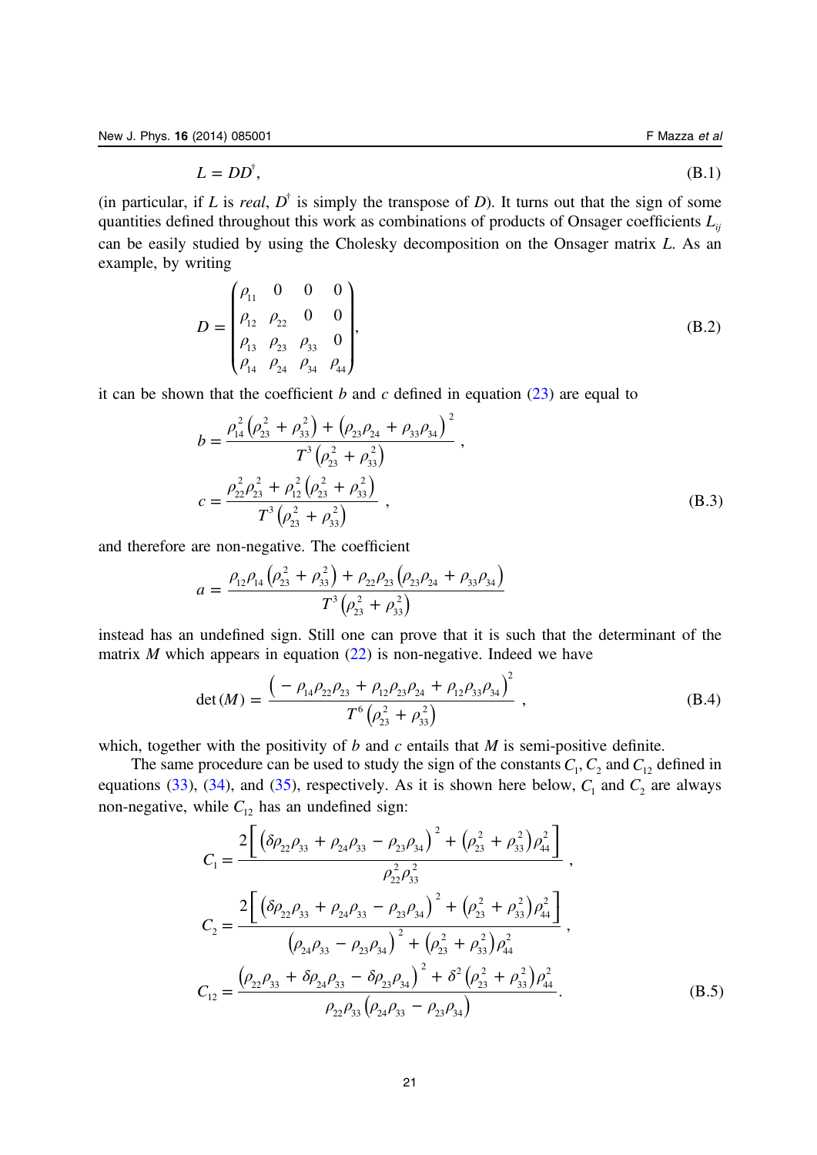$$
L = DD^{\dagger}, \tag{B.1}
$$

(in particular, if L is *real*,  $D^{\dagger}$  is simply the transpose of D). It turns out that the sign of some quantities defined throughout this work as combinations of products of Onsager coefficients  $L_{ii}$ can be easily studied by using the Cholesky decomposition on the Onsager matrix L. As an example, by writing

$$
D = \begin{pmatrix} \rho_{11} & 0 & 0 & 0 \\ \rho_{12} & \rho_{22} & 0 & 0 \\ \rho_{13} & \rho_{23} & \rho_{33} & 0 \\ \rho_{14} & \rho_{24} & \rho_{34} & \rho_{44} \end{pmatrix},
$$
 (B.2)

it can be shown that the coefficient b and c defined in equation  $(23)$  are equal to

$$
b = \frac{\rho_{14}^2 (\rho_{23}^2 + \rho_{33}^2) + (\rho_{23}\rho_{24} + \rho_{33}\rho_{34})^2}{T^3 (\rho_{23}^2 + \rho_{33}^2)},
$$
  

$$
c = \frac{\rho_{22}^2 \rho_{23}^2 + \rho_{12}^2 (\rho_{23}^2 + \rho_{33}^2)}{T^3 (\rho_{23}^2 + \rho_{33}^2)},
$$
 (B.3)

and therefore are non-negative. The coefficient

$$
a = \frac{\rho_{12}\rho_{14}\left(\rho_{23}^2 + \rho_{33}^2\right) + \rho_{22}\rho_{23}\left(\rho_{23}\rho_{24} + \rho_{33}\rho_{34}\right)}{T^3\left(\rho_{23}^2 + \rho_{33}^2\right)}
$$

instead has an undefined sign. Still one can prove that it is such that the determinant of the matrix  $M$  which appears in equation [\(22](#page-8-0)) is non-negative. Indeed we have

$$
\det(M) = \frac{\left(-\rho_{14}\rho_{22}\rho_{23} + \rho_{12}\rho_{23}\rho_{24} + \rho_{12}\rho_{33}\rho_{34}\right)^2}{T^6\left(\rho_{23}^2 + \rho_{33}^2\right)} ,
$$
 (B.4)

which, together with the positivity of  $b$  and  $c$  entails that  $M$  is semi-positive definite.

The same procedure can be used to study the sign of the constants  $C_1$ ,  $C_2$  and  $C_{12}$  defined in equations [\(33](#page-10-0)), [\(34](#page-10-0)), and [\(35](#page-10-0)), respectively. As it is shown here below,  $C_1$  and  $C_2$  are always non-negative, while  $C_{12}$  has an undefined sign:

$$
C_{1} = \frac{2\left[\left(\delta\rho_{22}\rho_{33} + \rho_{24}\rho_{33} - \rho_{23}\rho_{34}\right)^{2} + \left(\rho_{23}^{2} + \rho_{33}^{2}\right)\rho_{44}^{2}\right]}{\rho_{22}^{2}\rho_{33}^{2}},
$$
  
\n
$$
C_{2} = \frac{2\left[\left(\delta\rho_{22}\rho_{33} + \rho_{24}\rho_{33} - \rho_{23}\rho_{34}\right)^{2} + \left(\rho_{23}^{2} + \rho_{33}^{2}\right)\rho_{44}^{2}\right]}{\left(\rho_{24}\rho_{33} - \rho_{23}\rho_{34}\right)^{2} + \left(\rho_{23}^{2} + \rho_{33}^{2}\right)\rho_{44}^{2}},
$$
  
\n
$$
C_{12} = \frac{\left(\rho_{22}\rho_{33} + \delta\rho_{24}\rho_{33} - \delta\rho_{23}\rho_{34}\right)^{2} + \delta^{2}\left(\rho_{23}^{2} + \rho_{33}^{2}\right)\rho_{44}^{2}}{\rho_{22}\rho_{33}\left(\rho_{24}\rho_{33} - \rho_{23}\rho_{34}\right)}.
$$
(B.5)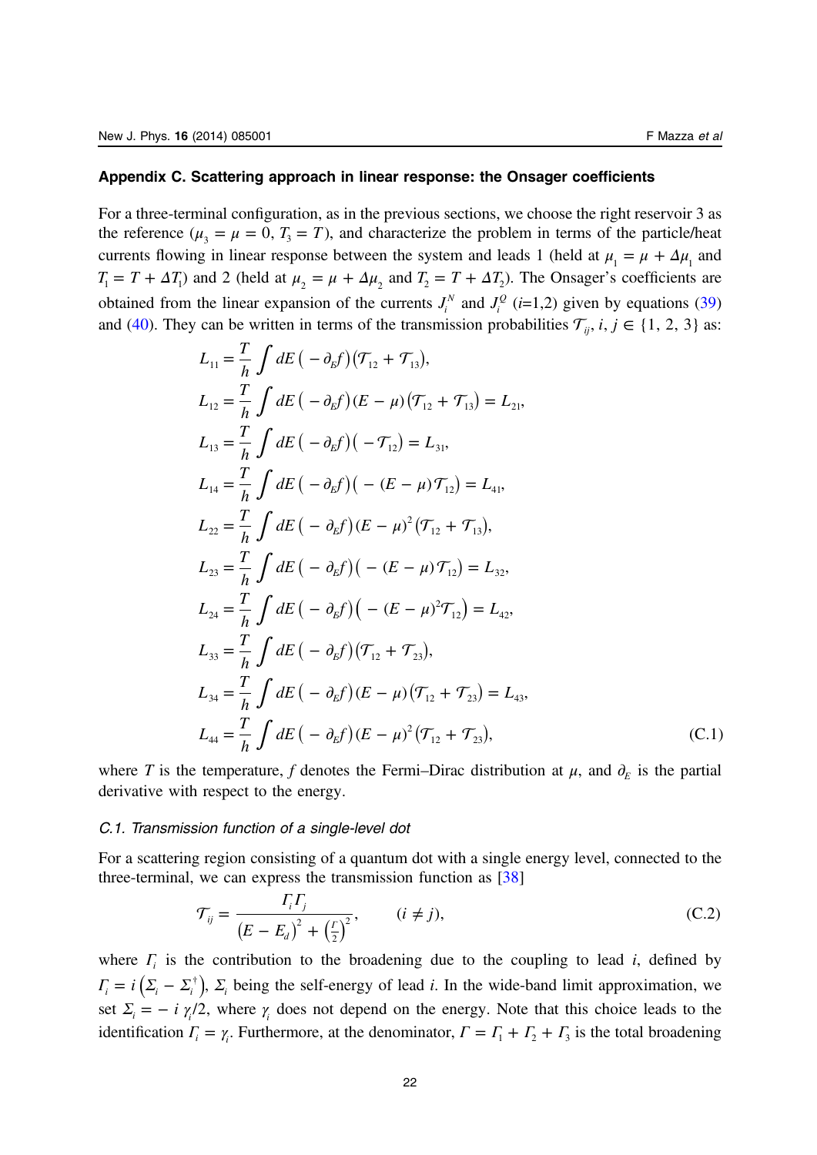#### <span id="page-22-0"></span>Appendix C. Scattering approach in linear response: the Onsager coefficients

For a three-terminal configuration, as in the previous sections, we choose the right reservoir 3 as the reference  $(\mu_1 = \mu = 0, T_1 = T)$ , and characterize the problem in terms of the particle/heat currents flowing in linear response between the system and leads 1 (held at  $\mu_1 = \mu + \Delta \mu_1$  and  $T_1 = T + \Delta T_1$  and 2 (held at  $\mu_2 = \mu + \Delta \mu_2$  and  $T_2 = T + \Delta T_2$ ). The Onsager's coefficients are obtained from the linear expansion of the currents  $J_i^N$  and  $J_i^Q$  (*i*=1,2) given by equations [\(39](#page-11-0)) and [\(40](#page-11-0)). They can be written in terms of the transmission probabilities  $\mathcal{T}_i$ ,  $i, j \in \{1, 2, 3\}$  as:

$$
L_{11} = \frac{T}{h} \int dE \left( -\partial_{5} f \right) (\mathcal{T}_{12} + \mathcal{T}_{13}),
$$
  
\n
$$
L_{12} = \frac{T}{h} \int dE \left( -\partial_{5} f \right) (E - \mu) (\mathcal{T}_{12} + \mathcal{T}_{13}) = L_{21},
$$
  
\n
$$
L_{13} = \frac{T}{h} \int dE \left( -\partial_{5} f \right) (-\mathcal{T}_{12}) = L_{31},
$$
  
\n
$$
L_{14} = \frac{T}{h} \int dE \left( -\partial_{5} f \right) (-\left( E - \mu \right) \mathcal{T}_{12}) = L_{41},
$$
  
\n
$$
L_{22} = \frac{T}{h} \int dE \left( -\partial_{5} f \right) (E - \mu)^{2} (\mathcal{T}_{12} + \mathcal{T}_{13}),
$$
  
\n
$$
L_{23} = \frac{T}{h} \int dE \left( -\partial_{5} f \right) (-\left( E - \mu \right) \mathcal{T}_{12}) = L_{32},
$$
  
\n
$$
L_{24} = \frac{T}{h} \int dE \left( -\partial_{5} f \right) \left( -\left( E - \mu \right)^{2} \mathcal{T}_{12} \right) = L_{42},
$$
  
\n
$$
L_{33} = \frac{T}{h} \int dE \left( -\partial_{5} f \right) (\mathcal{T}_{12} + \mathcal{T}_{23}),
$$
  
\n
$$
L_{34} = \frac{T}{h} \int dE \left( -\partial_{5} f \right) (E - \mu) (\mathcal{T}_{12} + \mathcal{T}_{23}) = L_{43},
$$
  
\n
$$
L_{44} = \frac{T}{h} \int dE \left( -\partial_{5} f \right) (E - \mu)^{2} (\mathcal{T}_{12} + \mathcal{T}_{23}),
$$
  
\n(C.1)

where T is the temperature, f denotes the Fermi–Dirac distribution at  $\mu$ , and  $\partial_E$  is the partial derivative with respect to the energy.

#### C.1. Transmission function of a single-level dot

For a scattering region consisting of a quantum dot with a single energy level, connected to the three-terminal, we can express the transmission function as  $[38]$  $[38]$ 

$$
\mathcal{T}_{ij} = \frac{\Gamma_i \Gamma_j}{(E - E_d)^2 + \left(\frac{r}{2}\right)^2}, \qquad (i \neq j),
$$
\n(C.2)

where  $\Gamma$ <sup>*i*</sup> is the contribution to the broadening due to the coupling to lead *i*, defined by  $\Gamma_i = i(\Sigma_i - \Sigma_i^{\dagger})$ ,  $\Sigma_i$  being the self-energy of lead *i*. In the wide-band limit approximation, we set  $\Sigma_i = -i \gamma_i/2$ , where  $\gamma_i$  does not depend on the energy. Note that this choice leads to the identification  $\Gamma_i = \gamma_i$ . Furthermore, at the denominator,  $\Gamma = \Gamma_1 + \Gamma_2 + \Gamma_3$  is the total broadening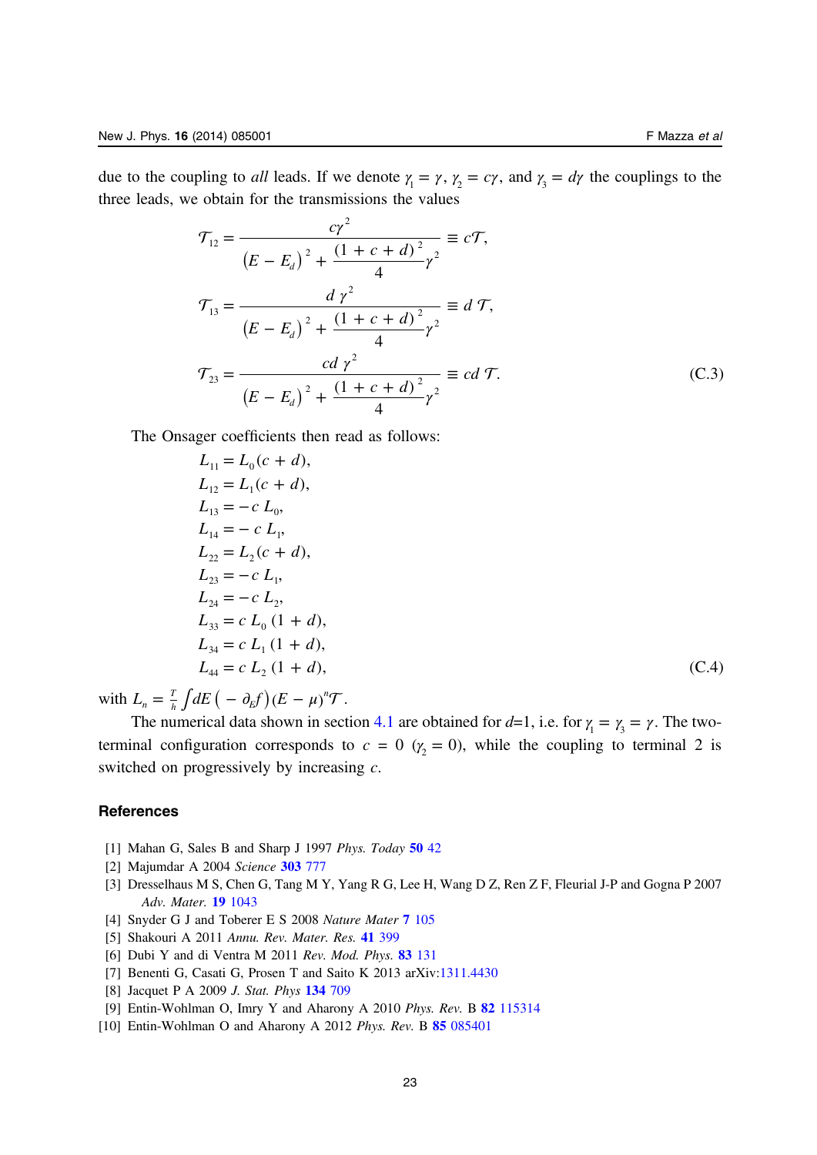<span id="page-23-0"></span>due to the coupling to *all* leads. If we denote  $\gamma_1 = \gamma$ ,  $\gamma_2 = c\gamma$ , and  $\gamma_3 = d\gamma$  the couplings to the three leads, we obtain for the transmissions the values

$$
\mathcal{T}_{12} = \frac{c\gamma^2}{(E - E_d)^2 + \frac{(1 + c + d)^2}{4}\gamma^2} \equiv c\mathcal{T},
$$
\n
$$
\mathcal{T}_{13} = \frac{d\gamma^2}{(E - E_d)^2 + \frac{(1 + c + d)^2}{4}\gamma^2} \equiv d\mathcal{T},
$$
\n
$$
\mathcal{T}_{23} = \frac{cd\gamma^2}{(E - E_d)^2 + \frac{(1 + c + d)^2}{4}\gamma^2} \equiv cd\mathcal{T}.
$$
\n(C.3)

The Onsager coefficients then read as follows:

$$
L_{11} = L_0(c + d),
$$
  
\n
$$
L_{12} = L_1(c + d),
$$
  
\n
$$
L_{13} = -c L_0,
$$
  
\n
$$
L_{14} = -c L_1,
$$
  
\n
$$
L_{22} = L_2(c + d),
$$
  
\n
$$
L_{23} = -c L_1,
$$
  
\n
$$
L_{24} = -c L_2,
$$
  
\n
$$
L_{33} = c L_0 (1 + d),
$$
  
\n
$$
L_{34} = c L_1 (1 + d),
$$
  
\n
$$
L_{44} = c L_2 (1 + d),
$$
\n(C.4)

with  $L_n = \frac{T}{h} \int dE \left( -\partial_E f \right) (E - \mu)$  $=\frac{T}{h}\int dE\left(-\frac{\partial_{E}f}{\partial x}\right)(E-\mu)^{n}\mathcal{T}.$ 

The numerical data shown in section [4.1](#page-11-0) are obtained for  $d=1$ , i.e. for  $\gamma_1 = \gamma_2 = \gamma$ . The twoterminal configuration corresponds to  $c = 0$  ( $\gamma_2 = 0$ ), while the coupling to terminal 2 is switched on progressively by increasing c.

#### **References**

- [1] Mahan G, Sales B and Sharp J 1997 Phys. Today [50](http://dx.doi.org/10.1063/1.881752) 42
- [2] Majumdar A 2004 Science [303](http://dx.doi.org/10.1126/science.1093164) 777
- [3] Dresselhaus M S, Chen G, Tang M Y, Yang R G, Lee H, Wang D Z, Ren Z F, Fleurial J-P and Gogna P 2007 Adv. Mater. **19** [1043](http://dx.doi.org/10.1002/(ISSN)1521-4095)
- [4] Snyder G J and Toberer E S 2008 Nature Mater 7 [105](http://dx.doi.org/10.1038/nmat2090)
- [5] Shakouri A 2011 Annu. Rev. Mater. Res. 41 [399](http://dx.doi.org/10.1146/annurev-matsci-062910-100445)
- [6] Dubi Y and di Ventra M 2011 Rev. Mod. Phys. 83 [131](http://dx.doi.org/10.1103/RevModPhys.83.131)
- [7] Benenti G, Casati G, Prosen T and Saito K 2013 arXiv:[1311.4430](http://arXiv.org/abs/1311.4430)
- [8] Jacquet P A 2009 *J. Stat. Phys* **134** [709](http://dx.doi.org/10.1007/s10955-009-9697-1)
- [9] Entin-Wohlman O, Imry Y and Aharony A 2010 Phys. Rev. B 82 [115314](http://dx.doi.org/10.1103/PhysRevB.82.115314)
- [10] Entin-Wohlman O and Aharony A 2012 Phys. Rev. B 85 [085401](http://dx.doi.org/10.1103/PhysRevB.85.085401)